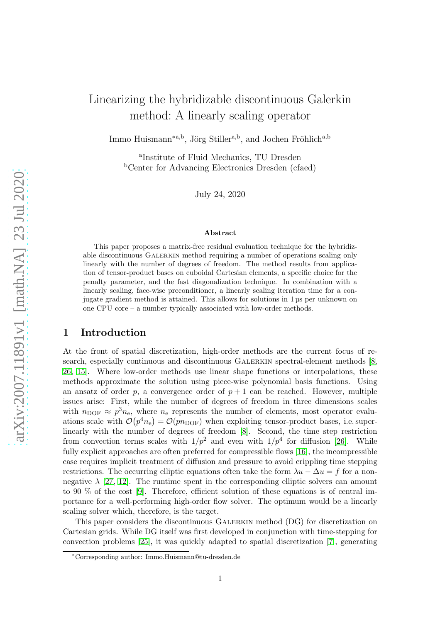# Linearizing the hybridizable discontinuous Galerkin method: A linearly scaling operator

Immo Huismann<sup>\*a,b</sup>, Jörg Stiller<sup>a,b</sup>, and Jochen Fröhlich<sup>a,b</sup>

a Institute of Fluid Mechanics, TU Dresden <sup>b</sup>Center for Advancing Electronics Dresden (cfaed)

July 24, 2020

#### Abstract

This paper proposes a matrix-free residual evaluation technique for the hybridizable discontinuous GALERKIN method requiring a number of operations scaling only linearly with the number of degrees of freedom. The method results from application of tensor-product bases on cuboidal Cartesian elements, a specific choice for the penalty parameter, and the fast diagonalization technique. In combination with a linearly scaling, face-wise preconditioner, a linearly scaling iteration time for a conjugate gradient method is attained. This allows for solutions in 1 µs per unknown on one CPU core – a number typically associated with low-order methods.

## 1 Introduction

At the front of spatial discretization, high-order methods are the current focus of research, especially continuous and discontinuous Galerkin spectral-element methods [\[8,](#page-23-0) [26,](#page-24-0) [15\]](#page-23-1). Where low-order methods use linear shape functions or interpolations, these methods approximate the solution using piece-wise polynomial basis functions. Using an ansatz of order p, a convergence order of  $p + 1$  can be reached. However, multiple issues arise: First, while the number of degrees of freedom in three dimensions scales with  $n_{\text{DOF}} \approx p^3 n_{\text{e}}$ , where  $n_{\text{e}}$  represents the number of elements, most operator evaluations scale with  $\mathcal{O}(p^4n_e) = \mathcal{O}(pn_{\text{DOF}})$  when exploiting tensor-product bases, i.e. superlinearly with the number of degrees of freedom [\[8\]](#page-23-0). Second, the time step restriction from convection terms scales with  $1/p^2$  and even with  $1/p^4$  for diffusion [\[26\]](#page-24-0). While fully explicit approaches are often preferred for compressible flows [\[16\]](#page-23-2), the incompressible case requires implicit treatment of diffusion and pressure to avoid crippling time stepping restrictions. The occurring elliptic equations often take the form  $\lambda u - \Delta u = f$  for a nonnegative  $\lambda$  [\[27,](#page-24-1) [12\]](#page-23-3). The runtime spent in the corresponding elliptic solvers can amount to 90 % of the cost [\[9\]](#page-23-4). Therefore, efficient solution of these equations is of central importance for a well-performing high-order flow solver. The optimum would be a linearly scaling solver which, therefore, is the target.

This paper considers the discontinuous Galerkin method (DG) for discretization on Cartesian grids. While DG itself was first developed in conjunction with time-stepping for convection problems [\[25\]](#page-24-2), it was quickly adapted to spatial discretization [\[7\]](#page-23-5), generating

<sup>∗</sup>Corresponding author: Immo.Huismann@tu-dresden.de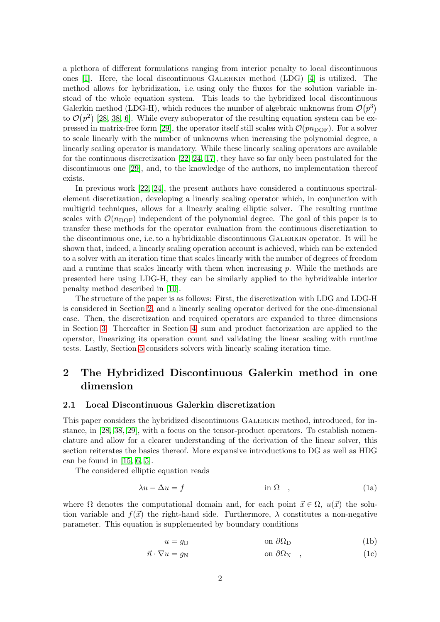a plethora of different formulations ranging from interior penalty to local discontinuous ones [\[1\]](#page-22-0). Here, the local discontinuous Galerkin method (LDG) [\[4\]](#page-23-6) is utilized. The method allows for hybridization, i.e. using only the fluxes for the solution variable instead of the whole equation system. This leads to the hybridized local discontinuous Galerkin method (LDG-H), which reduces the number of algebraic unknowns from  $\mathcal{O}(p^3)$ to  $\mathcal{O}(p^2)$  [\[28,](#page-24-3) [38,](#page-25-0) [6\]](#page-23-7). While every suboperator of the resulting equation system can be ex-pressed in matrix-free form [\[29\]](#page-24-4), the operator itself still scales with  $\mathcal{O}(p n_{\text{DOF}})$ . For a solver to scale linearly with the number of unknowns when increasing the polynomial degree, a linearly scaling operator is mandatory. While these linearly scaling operators are available for the continuous discretization [\[22,](#page-24-5) [24,](#page-24-6) [17\]](#page-24-7), they have so far only been postulated for the discontinuous one [\[29\]](#page-24-4), and, to the knowledge of the authors, no implementation thereof exists.

In previous work [\[22,](#page-24-5) [24\]](#page-24-6), the present authors have considered a continuous spectralelement discretization, developing a linearly scaling operator which, in conjunction with multigrid techniques, allows for a linearly scaling elliptic solver. The resulting runtime scales with  $\mathcal{O}(n_{\text{DOF}})$  independent of the polynomial degree. The goal of this paper is to transfer these methods for the operator evaluation from the continuous discretization to the discontinuous one, i.e. to a hybridizable discontinuous Galerkin operator. It will be shown that, indeed, a linearly scaling operation account is achieved, which can be extended to a solver with an iteration time that scales linearly with the number of degrees of freedom and a runtime that scales linearly with them when increasing  $p$ . While the methods are presented here using LDG-H, they can be similarly applied to the hybridizable interior penalty method described in [\[10\]](#page-23-8).

The structure of the paper is as follows: First, the discretization with LDG and LDG-H is considered in Section [2,](#page-1-0) and a linearly scaling operator derived for the one-dimensional case. Then, the discretization and required operators are expanded to three dimensions in Section [3.](#page-6-0) Thereafter in Section [4,](#page-9-0) sum and product factorization are applied to the operator, linearizing its operation count and validating the linear scaling with runtime tests. Lastly, Section [5](#page-15-0) considers solvers with linearly scaling iteration time.

## <span id="page-1-0"></span>2 The Hybridized Discontinuous Galerkin method in one dimension

#### 2.1 Local Discontinuous Galerkin discretization

This paper considers the hybridized discontinuous Galerkin method, introduced, for instance, in [\[28,](#page-24-3) [38,](#page-25-0) [29\]](#page-24-4), with a focus on the tensor-product operators. To establish nomenclature and allow for a clearer understanding of the derivation of the linear solver, this section reiterates the basics thereof. More expansive introductions to DG as well as HDG can be found in  $[15, 6, 5]$  $[15, 6, 5]$  $[15, 6, 5]$ .

The considered elliptic equation reads

$$
\lambda u - \Delta u = f \qquad \qquad \text{in } \Omega \quad , \tag{1a}
$$

where  $\Omega$  denotes the computational domain and, for each point  $\vec{x} \in \Omega$ ,  $u(\vec{x})$  the solution variable and  $f(\vec{x})$  the right-hand side. Furthermore,  $\lambda$  constitutes a non-negative parameter. This equation is supplemented by boundary conditions

<span id="page-1-1"></span>
$$
u = g_D \qquad \qquad \text{on } \partial \Omega_D \tag{1b}
$$

$$
\vec{n} \cdot \nabla u = g_N \qquad \text{on } \partial \Omega_N \quad , \tag{1c}
$$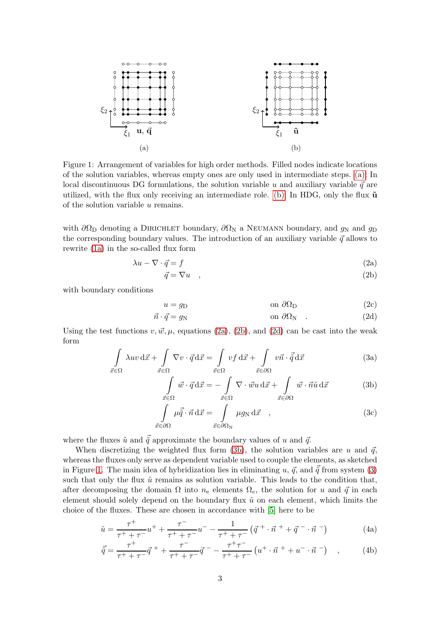<span id="page-2-0"></span>

Figure 1: Arrangement of variables for high order methods. Filled nodes indicate locations of the solution variables, whereas empty ones are only used in intermediate steps. [\(a\):](#page-2-0) In local discontinuous DG formulations, the solution variable u and auxiliary variable  $\vec{q}$  are utilized, with the flux only receiving an intermediate role. [\(b\):](#page-2-0) In HDG, only the flux  $\tilde{u}$ of the solution variable u remains.

with  $\partial\Omega_D$  denoting a DIRICHLET boundary,  $\partial\Omega_N$  a NEUMANN boundary, and  $g_N$  and  $g_D$ the corresponding boundary values. The introduction of an auxiliary variable  $\vec{q}$  allows to rewrite [\(1a\)](#page-1-1) in the so-called flux form

$$
\lambda u - \nabla \cdot \vec{q} = f \tag{2a}
$$

<span id="page-2-2"></span><span id="page-2-1"></span>
$$
\vec{q} = \nabla u \quad , \tag{2b}
$$

with boundary conditions

<span id="page-2-3"></span>
$$
u = g_D \qquad \qquad \text{on } \partial \Omega_D \tag{2c}
$$

$$
\vec{n} \cdot \vec{q} = g_N \qquad \text{on } \partial \Omega_N \qquad (2d)
$$

Using the test functions  $v, \vec{w}, \mu$ , equations [\(2a\)](#page-2-1), [\(2b\)](#page-2-2), and [\(2d\)](#page-2-3) can be cast into the weak form

$$
\int_{\vec{x}\in\Omega} \lambda uv \,d\vec{x} + \int_{\vec{x}\in\Omega} \nabla v \cdot \vec{q} \,d\vec{x} = \int_{\vec{x}\in\Omega} vf \,d\vec{x} + \int_{\vec{x}\in\partial\Omega} v\vec{n} \cdot \vec{\tilde{q}} \,d\vec{x}
$$
\n(3a)

<span id="page-2-6"></span><span id="page-2-5"></span><span id="page-2-4"></span>
$$
\int_{\vec{x}\in\Omega} \vec{w} \cdot \vec{q} \,d\vec{x} = -\int_{\vec{x}\in\Omega} \nabla \cdot \vec{w} u \,d\vec{x} + \int_{\vec{x}\in\partial\Omega} \vec{w} \cdot \vec{n} \tilde{u} \,d\vec{x}
$$
 (3b)

<span id="page-2-7"></span>
$$
\int_{\vec{x}\in\partial\Omega} \mu \vec{q} \cdot \vec{n} \,d\vec{x} = \int_{\vec{x}\in\partial\Omega_{\rm N}} \mu g_{\rm N} \,d\vec{x} \quad , \tag{3c}
$$

where the fluxes  $\tilde{u}$  and  $\vec{q}$  approximate the boundary values of u and  $\vec{q}$ .

When discretizing the weighted flux form [\(3b\)](#page-2-4), the solution variables are u and  $\vec{q}$ , whereas the fluxes only serve as dependent variable used to couple the elements, as sketched in Figure [1.](#page-2-0) The main idea of hybridization lies in eliminating u,  $\vec{q}$ , and  $\vec{\tilde{q}}$  from system [\(3\)](#page-2-5) such that only the flux  $\tilde{u}$  remains as solution variable. This leads to the condition that, after decomposing the domain  $\Omega$  into  $n_e$  elements  $\Omega_e$ , the solution for u and  $\vec{q}$  in each element should solely depend on the boundary flux  $\tilde{u}$  on each element, which limits the choice of the fluxes. These are chosen in accordance with [\[5\]](#page-23-9) here to be

$$
\tilde{u} = \frac{\tau^+}{\tau^+ + \tau^-} u^+ + \frac{\tau^-}{\tau^+ + \tau^-} u^- - \frac{1}{\tau^+ + \tau^-} \left( \vec{q}^+ \cdot \vec{n}^+ + \vec{q}^- \cdot \vec{n}^- \right) \tag{4a}
$$

$$
\vec{\tilde{q}} = \frac{\tau^+}{\tau^+ + \tau^-} \vec{q}^+ + \frac{\tau^-}{\tau^+ + \tau^-} \vec{q}^- - \frac{\tau^+ \tau^-}{\tau^+ + \tau^-} \left( u^+ \cdot \vec{n}^+ + u^- \cdot \vec{n}^- \right) , \qquad (4b)
$$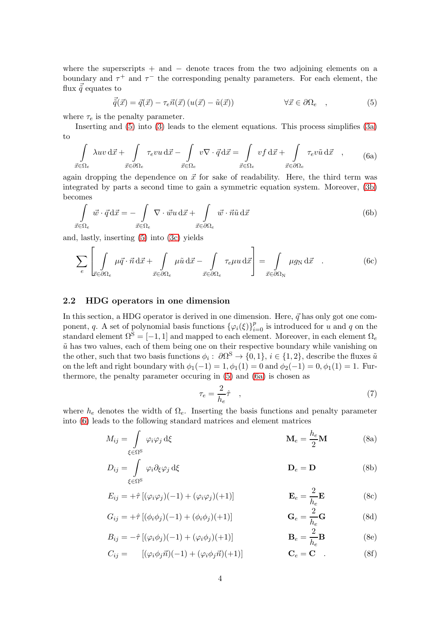where the superscripts  $+$  and  $-$  denote traces from the two adjoining elements on a boundary and  $\tau^+$  and  $\tau^-$  the corresponding penalty parameters. For each element, the flux  $\vec{\tilde{q}}$  equates to

<span id="page-3-1"></span><span id="page-3-0"></span>
$$
\vec{\tilde{q}}(\vec{x}) = \vec{q}(\vec{x}) - \tau_e \vec{n}(\vec{x}) \left( u(\vec{x}) - \tilde{u}(\vec{x}) \right) \qquad \forall \vec{x} \in \partial \Omega_e , \qquad (5)
$$

where  $\tau_e$  is the penalty parameter.

Inserting and [\(5\)](#page-3-0) into [\(3\)](#page-2-5) leads to the element equations. This process simplifies [\(3a\)](#page-2-6) to

$$
\int_{\vec{x}\in\Omega_e} \lambda uv \,d\vec{x} + \int_{\vec{x}\in\partial\Omega_e} \tau_e vu \,d\vec{x} - \int_{\vec{x}\in\Omega_e} v\nabla \cdot \vec{q} \,d\vec{x} = \int_{\vec{x}\in\Omega_e} vf \,d\vec{x} + \int_{\vec{x}\in\partial\Omega_e} \tau_e v\tilde{u} \,d\vec{x} , \qquad (6a)
$$

again dropping the dependence on  $\vec{x}$  for sake of readability. Here, the third term was integrated by parts a second time to gain a symmetric equation system. Moreover, [\(3b\)](#page-2-4) becomes

$$
\int_{\vec{x}\in\Omega_e} \vec{w} \cdot \vec{q} \,d\vec{x} = -\int_{\vec{x}\in\Omega_e} \nabla \cdot \vec{w} u \,d\vec{x} + \int_{\vec{x}\in\partial\Omega_e} \vec{w} \cdot \vec{n} \tilde{u} \,d\vec{x}
$$
\n(6b)

and, lastly, inserting [\(5\)](#page-3-0) into [\(3c\)](#page-2-5) yields

$$
\sum_{e} \left[ \int_{\vec{x} \in \partial \Omega_e} \mu \vec{q} \cdot \vec{n} \, d\vec{x} + \int_{\vec{x} \in \partial \Omega_e} \mu \tilde{u} \, d\vec{x} - \int_{\vec{x} \in \partial \Omega_e} \tau_e \mu u \, d\vec{x} \right] = \int_{\vec{x} \in \partial \Omega_N} \mu g_N \, d\vec{x} . \tag{6c}
$$

#### 2.2 HDG operators in one dimension

In this section, a HDG operator is derived in one dimension. Here,  $\vec{q}$  has only got one component, q. A set of polynomial basis functions  $\{\varphi_i(\xi)\}_{i=0}^p$  is introduced for u and q on the standard element  $\Omega^{S} = [-1, 1]$  and mapped to each element. Moreover, in each element  $\Omega_{e}$  $\tilde{u}$  has two values, each of them being one on their respective boundary while vanishing on the other, such that two basis functions  $\phi_i: \partial\Omega^S \to \{0,1\}, i \in \{1,2\},\$ describe the fluxes  $\tilde{u}$ on the left and right boundary with  $\phi_1(-1) = 1, \phi_1(1) = 0$  and  $\phi_2(-1) = 0, \phi_1(1) = 1$ . Furthermore, the penalty parameter occuring in [\(5\)](#page-3-0) and [\(6a\)](#page-3-1) is chosen as

<span id="page-3-3"></span><span id="page-3-2"></span>
$$
\tau_e = \frac{2}{h_e} \hat{\tau} \quad , \tag{7}
$$

where  $h_e$  denotes the width of  $\Omega_e$ . Inserting the basis functions and penalty parameter into [\(6\)](#page-3-2) leads to the following standard matrices and element matrices

$$
M_{ij} = \int_{\xi \in \Omega^{S}} \varphi_{i} \varphi_{j} d\xi \qquad \mathbf{M}_{e} = \frac{h_{e}}{2} \mathbf{M} \qquad (8a)
$$

$$
D_{ij} = \int_{\xi \in \Omega^S} \varphi_i \partial_\xi \varphi_j d\xi
$$
 (8b)

$$
E_{ij} = +\hat{\tau} \left[ (\varphi_i \varphi_j)(-1) + (\varphi_i \varphi_j)(+1) \right]
$$
\n
$$
\mathbf{E}_e = \frac{2}{h_e} \mathbf{E}
$$
\n(8c)

$$
G_{ij} = +\hat{\tau} \left[ (\phi_i \phi_j)(-1) + (\phi_i \phi_j)(+1) \right]
$$
\n
$$
\mathbf{G}_e = \frac{2}{h_e} \mathbf{G}
$$
\n(8d)

$$
B_{ij} = -\hat{\tau} \left[ (\varphi_i \phi_j)(-1) + (\varphi_i \phi_j)(+1) \right] \qquad \qquad \mathbf{B}_e = \frac{2}{h_e} \mathbf{B} \tag{8e}
$$

 $C_{ij} = \left[ (\varphi_i \phi_j \vec{n})(-1) + (\varphi_i \phi_j \vec{n})(+1) \right]$   $\mathbf{C}_e = \mathbf{C}$  (8f)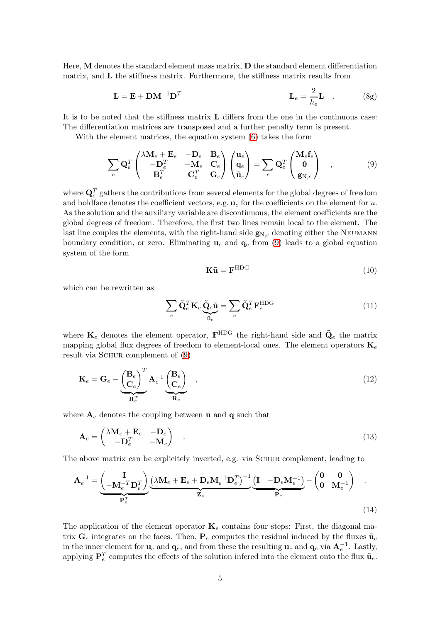Here,  $M$  denotes the standard element mass matrix,  $D$  the standard element differentiation matrix, and  $L$  the stiffness matrix. Furthermore, the stiffness matrix results from

$$
\mathbf{L} = \mathbf{E} + \mathbf{D}\mathbf{M}^{-1}\mathbf{D}^{T} \qquad \qquad \mathbf{L}_{e} = \frac{2}{h_{e}}\mathbf{L} \qquad (8g)
$$

It is to be noted that the stiffness matrix L differs from the one in the continuous case: The differentiation matrices are transposed and a further penalty term is present.

With the element matrices, the equation system [\(6\)](#page-3-2) takes the form

$$
\sum_{e} \mathbf{Q}_{e}^{T} \begin{pmatrix} \lambda \mathbf{M}_{e} + \mathbf{E}_{e} & -\mathbf{D}_{e} & \mathbf{B}_{e} \\ -\mathbf{D}_{e}^{T} & -\mathbf{M}_{e} & \mathbf{C}_{e} \\ \mathbf{B}_{e}^{T} & \mathbf{C}_{e}^{T} & \mathbf{G}_{e} \end{pmatrix} \begin{pmatrix} \mathbf{u}_{e} \\ \mathbf{q}_{e} \\ \tilde{\mathbf{u}}_{e} \end{pmatrix} = \sum_{e} \mathbf{Q}_{e}^{T} \begin{pmatrix} \mathbf{M}_{e} \mathbf{f}_{e} \\ \mathbf{0} \\ \mathbf{g}_{N,e} \end{pmatrix} , \qquad (9)
$$

where  $\mathbf{Q}_e^T$  gathers the contributions from several elements for the global degrees of freedom and boldface denotes the coefficient vectors, e.g.  $\mathbf{u}_e$  for the coefficients on the element for u. As the solution and the auxiliary variable are discontinuous, the element coefficients are the global degrees of freedom. Therefore, the first two lines remain local to the element. The last line couples the elements, with the right-hand side  $g_{N,e}$  denoting either the NEUMANN boundary condition, or zero. Eliminating  $\mathbf{u}_e$  and  $\mathbf{q}_e$  from [\(9\)](#page-4-0) leads to a global equation system of the form

<span id="page-4-4"></span><span id="page-4-3"></span><span id="page-4-2"></span><span id="page-4-0"></span>
$$
\mathbf{K}\tilde{\mathbf{u}} = \mathbf{F}^{\text{HDG}} \tag{10}
$$

which can be rewritten as

<span id="page-4-1"></span>
$$
\sum_{e} \tilde{\mathbf{Q}}_{e}^{T} \mathbf{K}_{e} \underbrace{\tilde{\mathbf{Q}}_{e} \tilde{\mathbf{u}}}_{\tilde{\mathbf{u}}_{e}} = \sum_{e} \tilde{\mathbf{Q}}_{e}^{T} \mathbf{F}_{e}^{\text{HDG}}
$$
\n(11)

where  $\mathbf{K}_e$  denotes the element operator,  $\mathbf{F}^{\text{HDG}}$  the right-hand side and  $\tilde{\mathbf{Q}}_e$  the matrix mapping global flux degrees of freedom to element-local ones. The element operators  $\mathbf{K}_e$ result via SCHUR complement of  $(9)$ 

$$
\mathbf{K}_e = \mathbf{G}_e - \underbrace{\left(\begin{matrix} \mathbf{B}_e \\ \mathbf{C}_e \end{matrix}\right)^T}_{\mathbf{R}_e^T} \mathbf{A}_e^{-1} \underbrace{\left(\begin{matrix} \mathbf{B}_e \\ \mathbf{C}_e \end{matrix}\right)}_{\mathbf{R}_e} ,
$$
\n(12)

where  $A_e$  denotes the coupling between **u** and **q** such that

$$
\mathbf{A}_e = \begin{pmatrix} \lambda \mathbf{M}_e + \mathbf{E}_e & -\mathbf{D}_e \\ -\mathbf{D}_e^T & -\mathbf{M}_e \end{pmatrix} . \tag{13}
$$

The above matrix can be explicitely inverted, e.g. via SCHUR complement, leading to

$$
\mathbf{A}_{e}^{-1} = \underbrace{\begin{pmatrix} \mathbf{I} \\ -\mathbf{M}_{e}^{-T}\mathbf{D}_{e}^{T} \end{pmatrix}}_{\mathbf{P}_{e}^{T}} \underbrace{\begin{pmatrix} \lambda \mathbf{M}_{e} + \mathbf{E}_{e} + \mathbf{D}_{e} \mathbf{M}_{e}^{-1} \mathbf{D}_{e}^{T} \end{pmatrix}^{-1}}_{\mathbf{Z}_{e}} \underbrace{\begin{pmatrix} \mathbf{I} & -\mathbf{D}_{e} \mathbf{M}_{e}^{-1} \end{pmatrix}}_{\mathbf{P}_{e}} - \begin{pmatrix} \mathbf{0} & \mathbf{0} \\ \mathbf{0} & \mathbf{M}_{e}^{-1} \end{pmatrix} . \tag{14}
$$

The application of the element operator  $\mathbf{K}_e$  contains four steps: First, the diagonal matrix  $\mathbf{G}_e$  integrates on the faces. Then,  $\mathbf{P}_e$  computes the residual induced by the fluxes  $\tilde{\mathbf{u}}_e$ in the inner element for  $u_e$  and  $q_e$ , and from these the resulting  $u_e$  and  $q_e$  via  $A_e^{-1}$ . Lastly, applying  $\mathbf{P}_e^T$  computes the effects of the solution infered into the element onto the flux  $\tilde{\mathbf{u}}_e$ .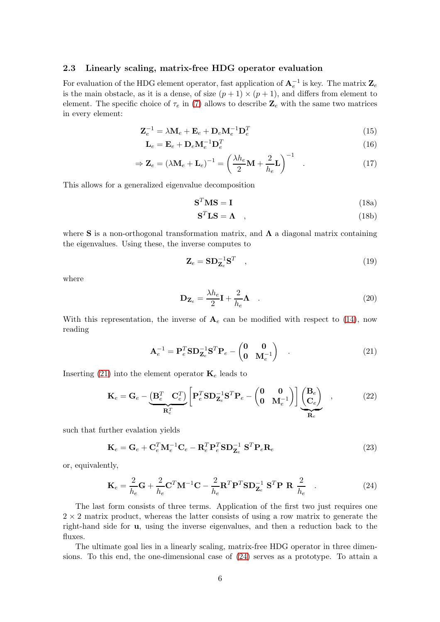## 2.3 Linearly scaling, matrix-free HDG operator evaluation

For evaluation of the HDG element operator, fast application of  $A_e^{-1}$  is key. The matrix  $\mathbf{Z}_e$ is the main obstacle, as it is a dense, of size  $(p+1) \times (p+1)$ , and differs from element to element. The specific choice of  $\tau_e$  in [\(7\)](#page-3-3) allows to describe  $\mathbb{Z}_e$  with the same two matrices in every element:

$$
\mathbf{Z}_e^{-1} = \lambda \mathbf{M}_e + \mathbf{E}_e + \mathbf{D}_e \mathbf{M}_e^{-1} \mathbf{D}_e^T
$$
\n(15)

$$
\mathbf{L}_e = \mathbf{E}_e + \mathbf{D}_e \mathbf{M}_e^{-1} \mathbf{D}_e^T
$$
\n(16)

$$
\Rightarrow \mathbf{Z}_e = (\lambda \mathbf{M}_e + \mathbf{L}_e)^{-1} = \left(\frac{\lambda h_e}{2} \mathbf{M} + \frac{2}{h_e} \mathbf{L}\right)^{-1} . \tag{17}
$$

This allows for a generalized eigenvalue decomposition

$$
\mathbf{S}^T \mathbf{M} \mathbf{S} = \mathbf{I} \tag{18a}
$$

<span id="page-5-3"></span><span id="page-5-2"></span>
$$
\mathbf{S}^T \mathbf{L} \mathbf{S} = \mathbf{\Lambda} \quad , \tag{18b}
$$

where S is a non-orthogonal transformation matrix, and  $\Lambda$  a diagonal matrix containing the eigenvalues. Using these, the inverse computes to

$$
\mathbf{Z}_e = \mathbf{SD}_{\mathbf{Z}_e}^{-1} \mathbf{S}^T \quad , \tag{19}
$$

where

<span id="page-5-0"></span>
$$
\mathbf{D}_{\mathbf{Z}_e} = \frac{\lambda h_e}{2} \mathbf{I} + \frac{2}{h_e} \mathbf{\Lambda} \quad . \tag{20}
$$

With this representation, the inverse of  $A_e$  can be modified with respect to [\(14\)](#page-4-1), now reading

<span id="page-5-1"></span>
$$
\mathbf{A}_e^{-1} = \mathbf{P}_e^T \mathbf{S} \mathbf{D}_{\mathbf{Z}_e}^{-1} \mathbf{S}^T \mathbf{P}_e - \begin{pmatrix} \mathbf{0} & \mathbf{0} \\ \mathbf{0} & \mathbf{M}_e^{-1} \end{pmatrix} . \tag{21}
$$

Inserting [\(21\)](#page-5-0) into the element operator  $\mathbf{K}_e$  leads to

$$
\mathbf{K}_e = \mathbf{G}_e - \underbrace{\left(\mathbf{B}_e^T \ \mathbf{C}_e^T\right)}_{\mathbf{R}_e^T} \left[\mathbf{P}_e^T \mathbf{S} \mathbf{D}_{\mathbf{Z}_e}^{-1} \mathbf{S}^T \mathbf{P}_e - \begin{pmatrix} \mathbf{0} & \mathbf{0} \\ \mathbf{0} & \mathbf{M}_e^{-1} \end{pmatrix} \right] \underbrace{\left(\mathbf{B}_e\right)}_{\mathbf{R}_e} \quad , \tag{22}
$$

such that further evalation yields

$$
\mathbf{K}_e = \mathbf{G}_e + \mathbf{C}_e^T \mathbf{M}_e^{-1} \mathbf{C}_e - \mathbf{R}_e^T \mathbf{P}_e^T \mathbf{S} \mathbf{D}_{\mathbf{Z}_e}^{-1} \mathbf{S}^T \mathbf{P}_e \mathbf{R}_e
$$
\n(23)

or, equivalently,

$$
\mathbf{K}_e = \frac{2}{h_e} \mathbf{G} + \frac{2}{h_e} \mathbf{C}^T \mathbf{M}^{-1} \mathbf{C} - \frac{2}{h_e} \mathbf{R}^T \mathbf{P}^T \mathbf{S} \mathbf{D}_{\mathbf{Z}_e}^{-1} \mathbf{S}^T \mathbf{P} \mathbf{R} \frac{2}{h_e} \quad . \tag{24}
$$

The last form consists of three terms. Application of the first two just requires one  $2 \times 2$  matrix product, whereas the latter consists of using a row matrix to generate the right-hand side for u, using the inverse eigenvalues, and then a reduction back to the fluxes.

The ultimate goal lies in a linearly scaling, matrix-free HDG operator in three dimensions. To this end, the one-dimensional case of [\(24\)](#page-5-1) serves as a prototype. To attain a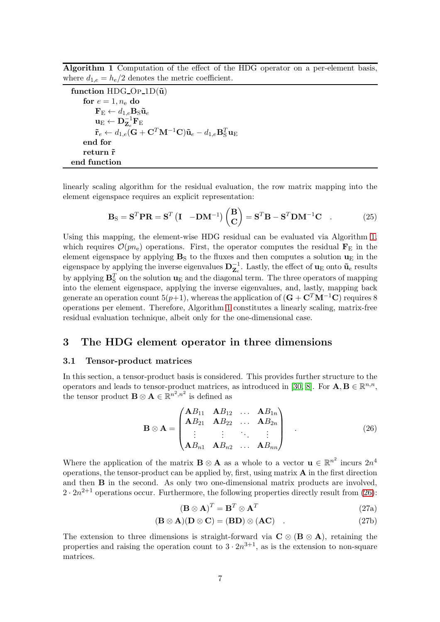<span id="page-6-1"></span>Algorithm 1 Computation of the effect of the HDG operator on a per-element basis, where  $d_{1,e} = h_e/2$  denotes the metric coefficient.

function HDG\_OP\_1D(\tilde{u})  
\nfor 
$$
e = 1, n_e
$$
 do  
\n $\mathbf{F}_E \leftarrow d_{1,e} \mathbf{B}_S \tilde{u}_e$   
\n $\mathbf{u}_E \leftarrow \mathbf{D}_{\mathbf{Z}_e}^{-1} \mathbf{F}_E$   
\n $\tilde{r}_e \leftarrow d_{1,e} (\mathbf{G} + \mathbf{C}^T \mathbf{M}^{-1} \mathbf{C}) \tilde{u}_e - d_{1,e} \mathbf{B}_S^T \mathbf{u}_E$   
\nend for  
\nreturn  $\tilde{r}$   
\nend function

linearly scaling algorithm for the residual evaluation, the row matrix mapping into the element eigenspace requires an explicit representation:

$$
\mathbf{B}_{\rm S} = \mathbf{S}^T \mathbf{P} \mathbf{R} = \mathbf{S}^T \left( \mathbf{I} - \mathbf{D} \mathbf{M}^{-1} \right) \begin{pmatrix} \mathbf{B} \\ \mathbf{C} \end{pmatrix} = \mathbf{S}^T \mathbf{B} - \mathbf{S}^T \mathbf{D} \mathbf{M}^{-1} \mathbf{C} \quad . \tag{25}
$$

Using this mapping, the element-wise HDG residual can be evaluated via Algorithm [1,](#page-6-1) which requires  $\mathcal{O}(pn_e)$  operations. First, the operator computes the residual  $\mathbf{F}_E$  in the element eigenspace by applying  $B<sub>S</sub>$  to the fluxes and then computes a solution  $u<sub>E</sub>$  in the eigenspace by applying the inverse eigenvalues  $\mathbf{D}_{\mathbf{Z}_e}^{-1}$ . Lastly, the effect of  $\mathbf{u}_{E}$  onto  $\tilde{\mathbf{u}}_e$  results by applying  $\mathbf{B}_{\mathrm{S}}^T$  on the solution  $\mathbf{u}_{\mathrm{E}}$  and the diagonal term. The three operators of mapping into the element eigenspace, applying the inverse eigenvalues, and, lastly, mapping back generate an operation count 5(p+1), whereas the application of  $(G + C^T M^{-1}C)$  requires 8 operations per element. Therefore, Algorithm [1](#page-6-1) constitutes a linearly scaling, matrix-free residual evaluation technique, albeit only for the one-dimensional case.

## <span id="page-6-0"></span>3 The HDG element operator in three dimensions

#### 3.1 Tensor-product matrices

In this section, a tensor-product basis is considered. This provides further structure to the operators and leads to tensor-product matrices, as introduced in [\[30,](#page-24-8) [8\]](#page-23-0). For  $\mathbf{A}, \mathbf{B} \in \mathbb{R}^{n,n}$ , the tensor product  $\mathbf{B} \otimes \mathbf{A} \in \mathbb{R}^{n^2, n^2}$  is defined as

$$
\mathbf{B} \otimes \mathbf{A} = \begin{pmatrix} \mathbf{A}B_{11} & \mathbf{A}B_{12} & \dots & \mathbf{A}B_{1n} \\ \mathbf{A}B_{21} & \mathbf{A}B_{22} & \dots & \mathbf{A}B_{2n} \\ \vdots & \vdots & \ddots & \vdots \\ \mathbf{A}B_{n1} & \mathbf{A}B_{n2} & \dots & \mathbf{A}B_{nn} \end{pmatrix} \tag{26}
$$

Where the application of the matrix **B**  $\otimes$  **A** as a whole to a vector **u**  $\in \mathbb{R}^{n^2}$  incurs  $2n^4$ operations, the tensor-product can be applied by, first, using matrix  $A$  in the first direction and then B in the second. As only two one-dimensional matrix products are involved,  $2 \cdot 2n^{2+1}$  operations occur. Furthermore, the following properties directly result from [\(26\)](#page-6-2):

<span id="page-6-3"></span><span id="page-6-2"></span>
$$
(\mathbf{B} \otimes \mathbf{A})^T = \mathbf{B}^T \otimes \mathbf{A}^T
$$
 (27a)

$$
(\mathbf{B} \otimes \mathbf{A})(\mathbf{D} \otimes \mathbf{C}) = (\mathbf{B}\mathbf{D}) \otimes (\mathbf{A}\mathbf{C}) \quad . \tag{27b}
$$

The extension to three dimensions is straight-forward via  $C \otimes (B \otimes A)$ , retaining the properties and raising the operation count to  $3 \cdot 2n^{3+1}$ , as is the extension to non-square matrices.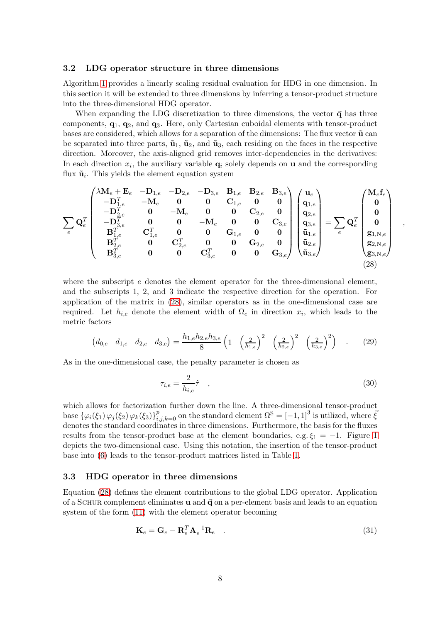#### 3.2 LDG operator structure in three dimensions

Algorithm [1](#page-6-1) provides a linearly scaling residual evaluation for HDG in one dimension. In this section it will be extended to three dimensions by inferring a tensor-product structure into the three-dimensional HDG operator.

When expanding the LDG discretization to three dimensions, the vector  $\vec{q}$  has three components,  $q_1, q_2,$  and  $q_3$ . Here, only Cartesian cuboidal elements with tensor-product bases are considered, which allows for a separation of the dimensions: The flux vector  $\tilde{\mathbf{u}}$  can be separated into three parts,  $\tilde{\mathbf{u}}_1$ ,  $\tilde{\mathbf{u}}_2$ , and  $\tilde{\mathbf{u}}_3$ , each residing on the faces in the respective direction. Moreover, the axis-aligned grid removes inter-dependencies in the derivatives: In each direction  $x_i$ , the auxiliary variable  $\mathbf{q}_i$  solely depends on **u** and the corresponding flux  $\tilde{\mathbf{u}}_i$ . This yields the element equation system

$$
\sum_{e} \mathbf{Q}_{e}^{T} \begin{pmatrix} \lambda \mathbf{M}_{e} + \mathbf{E}_{e} & -\mathbf{D}_{1,e} & -\mathbf{D}_{2,e} & -\mathbf{D}_{3,e} & \mathbf{B}_{1,e} & \mathbf{B}_{2,e} & \mathbf{B}_{3,e} \\ -\mathbf{D}_{1,e}^{T} & -\mathbf{M}_{e} & \mathbf{0} & \mathbf{0} & \mathbf{C}_{1,e} & \mathbf{0} & \mathbf{0} \\ -\mathbf{D}_{2,e}^{T} & \mathbf{0} & -\mathbf{M}_{e} & \mathbf{0} & \mathbf{0} & \mathbf{C}_{2,e} & \mathbf{0} \\ -\mathbf{D}_{3,e}^{T} & \mathbf{0} & \mathbf{0} & -\mathbf{M}_{e} & \mathbf{0} & \mathbf{0} & \mathbf{C}_{3,e} \\ \mathbf{B}_{1,e}^{T} & \mathbf{C}_{1,e}^{T} & \mathbf{0} & \mathbf{0} & \mathbf{G}_{1,e} & \mathbf{0} & \mathbf{0} \\ \mathbf{B}_{2,e}^{T} & \mathbf{0} & \mathbf{C}_{2,e}^{T} & \mathbf{0} & \mathbf{0} & \mathbf{G}_{2,e} & \mathbf{0} \\ \mathbf{B}_{3,e}^{T} & \mathbf{0} & \mathbf{C}_{2,e}^{T} & \mathbf{0} & \mathbf{0} & \mathbf{G}_{2,e} & \mathbf{0} \\ \mathbf{B}_{3,e}^{T} & \mathbf{0} & \mathbf{0} & \mathbf{C}_{3,e}^{T} & \mathbf{0} & \mathbf{0} & \mathbf{G}_{3,e} \\ \mathbf{B}_{3,e}^{T} & \mathbf{0} & \mathbf{0} & \mathbf{C}_{3,e}^{T} & \mathbf{0} & \mathbf{0} & \mathbf{G}_{3,e} \end{pmatrix} \begin{pmatrix} \mathbf{u}_{e} \\ \mathbf{q}_{1,e} \\ \mathbf{q}_{2,e} \\ \mathbf{u}_{3,e} \\ \mathbf{u}_{3,e} \end{pmatrix} = \sum_{e} \mathbf{Q}_{e}^{T} \begin{pmatrix} \mathbf{M}_{e}\mathbf{f}_{e} \\ \mathbf{0} \\ \mathbf{g}_{1,N,e} \\ \mathbf{g}_{2,N,e} \\ \mathbf{g}_{3,N,e} \end{pmatrix}
$$

where the subscript  $e$  denotes the element operator for the three-dimensional element, and the subscripts 1, 2, and 3 indicate the respective direction for the operation. For application of the matrix in [\(28\)](#page-7-0), similar operators as in the one-dimensional case are required. Let  $h_{i,e}$  denote the element width of  $\Omega_e$  in direction  $x_i$ , which leads to the metric factors

$$
\begin{pmatrix} d_{0,e} & d_{1,e} & d_{2,e} & d_{3,e} \end{pmatrix} = \frac{h_{1,e}h_{2,e}h_{3,e}}{8} \left(1 - \left(\frac{2}{h_{1,e}}\right)^2 - \left(\frac{2}{h_{2,e}}\right)^2 - \left(\frac{2}{h_{3,e}}\right)^2\right) \quad . \tag{29}
$$

As in the one-dimensional case, the penalty parameter is chosen as

$$
\tau_{i,e} = \frac{2}{h_{i,e}} \hat{\tau} \quad , \tag{30}
$$

<span id="page-7-0"></span>,

which allows for factorization further down the line. A three-dimensional tensor-product base  $\{\varphi_i(\xi_1)\varphi_j(\xi_2)\varphi_k(\xi_3)\}_{i,j,k=0}^p$  on the standard element  $\Omega^{\rm S} = [-1,1]^3$  is utilized, where  $\bar{\xi}$ denotes the standard coordinates in three dimensions. Furthermore, the basis for the fluxes results from the tensor-product base at the element boundaries, e.g.  $\xi_1 = -1$ . Figure [1](#page-2-0) depicts the two-dimensional case. Using this notation, the insertion of the tensor-product base into [\(6\)](#page-3-2) leads to the tensor-product matrices listed in Table [1.](#page-8-0)

#### 3.3 HDG operator in three dimensions

Equation [\(28\)](#page-7-0) defines the element contributions to the global LDG operator. Application of a SCHUR complement eliminates  $\bf{u}$  and  $\bf{\vec{q}}$  on a per-element basis and leads to an equation system of the form [\(11\)](#page-4-2) with the element operator becoming

<span id="page-7-1"></span>
$$
\mathbf{K}_e = \mathbf{G}_e - \mathbf{R}_e^T \mathbf{A}_e^{-1} \mathbf{R}_e \quad . \tag{31}
$$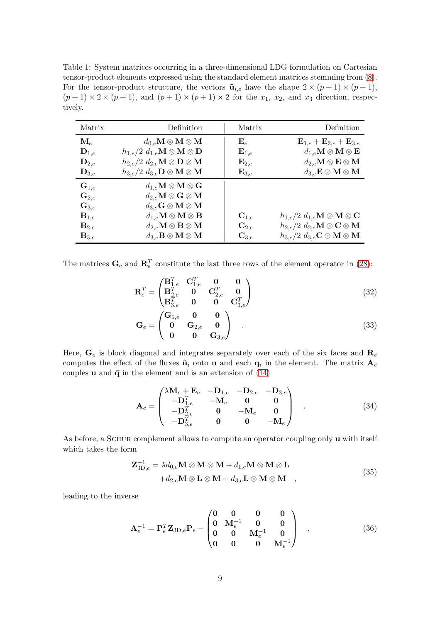<span id="page-8-0"></span>Table 1: System matrices occurring in a three-dimensional LDG formulation on Cartesian tensor-product elements expressed using the standard element matrices stemming from [\(8\)](#page-4-3). For the tensor-product structure, the vectors  $\tilde{\mathbf{u}}_{i,e}$  have the shape  $2 \times (p+1) \times (p+1)$ ,  $(p+1) \times 2 \times (p+1)$ , and  $(p+1) \times (p+1) \times 2$  for the  $x_1, x_2$ , and  $x_3$  direction, respectively.

| Matrix             | Definition                                                           | Matrix             | Definition                                                                     |
|--------------------|----------------------------------------------------------------------|--------------------|--------------------------------------------------------------------------------|
| $\mathbf{M}_e$     | $d_{0,e}\mathbf{M} \otimes \mathbf{M} \otimes \mathbf{M}$            | ${\bf E}_e$        | ${\bf E}_{1,e}+{\bf E}_{2,e}+{\bf E}_{3,e}$                                    |
| $\mathbf{D}_{1,e}$ | $h_{1,e}/2\ d_{1,e}\mathbf{M} \otimes \mathbf{M} \otimes \mathbf{D}$ | $\mathbf{E}_{1,e}$ | $d_{1,e} \mathbf{M} \otimes \mathbf{M} \otimes \mathbf{E}$                     |
| $\mathbf{D}_{2,e}$ | $h_{2,e}/2\;d_{2,e}\mathbf{M}\otimes \mathbf{D}\otimes \mathbf{M}$   | $\mathbf{E}_{2,e}$ | $d_{2,e}\mathbf{M}\otimes \mathbf{E}\otimes \mathbf{M}$                        |
| $\mathbf{D}_{3,e}$ | $h_{3,e}/2\;d_{3,e}\mathbf{D}\otimes\mathbf{M}\otimes\mathbf{M}$     | $\mathbf{E}_{3,e}$ | $d_{3,e} \mathbf{E} \otimes \mathbf{M} \otimes \mathbf{M}$                     |
| $\mathbf{G}_{1,e}$ | $d_{1,e} \mathbf{M} \otimes \mathbf{M} \otimes \mathbf{G}$           |                    |                                                                                |
| $\mathbf{G}_{2,e}$ | $d_{2,e}\mathbf{M}\otimes\mathbf{G}\otimes\mathbf{M}$                |                    |                                                                                |
| $\mathbf{G}_{3,e}$ | $d_{3,e} \mathbf{G} \otimes \mathbf{M} \otimes \mathbf{M}$           |                    |                                                                                |
| $\mathbf{B}_{1,e}$ | $d_{1,e} \mathbf{M} \otimes \mathbf{M} \otimes \mathbf{B}$           | $\mathbf{C}_{1,e}$ | $\left( h_{1,e}/2\;d_{1,e}\mathbf{M}\otimes\mathbf{M}\otimes\mathbf{C}\right)$ |
| $\mathbf{B}_{2,e}$ | $d_{2,e} \mathbf{M} \otimes \mathbf{B} \otimes \mathbf{M}$           | $\mathbf{C}_{2,e}$ | $h_{2,e}/2$ $d_{2,e}$ <b>M</b> $\otimes$ <b>C</b> $\otimes$ <b>M</b>           |
| $\mathbf{B}_{3,e}$ | $d_{3,e} \mathbf{B} \otimes \mathbf{M} \otimes \mathbf{M}$           | $\mathbf{C}_{3,e}$ | $h_{3,e}/2\;d_{3,e}\mathbf{C}\otimes\mathbf{M}\otimes\mathbf{M}$               |

The matrices  $\mathbf{G}_e$  and  $\mathbf{R}_e^T$  constitute the last three rows of the element operator in [\(28\)](#page-7-0):

$$
\mathbf{R}_{e}^{T} = \begin{pmatrix} \mathbf{B}_{1,e}^{T} & \mathbf{C}_{1,e}^{T} & \mathbf{0} & \mathbf{0} \\ \mathbf{B}_{2,e}^{T} & \mathbf{0} & \mathbf{C}_{2,e}^{T} & \mathbf{0} \\ \mathbf{B}_{3,e}^{T} & \mathbf{0} & \mathbf{0} & \mathbf{C}_{3,e}^{T} \end{pmatrix}
$$
(32)

$$
\mathbf{G}_e = \begin{pmatrix} \mathbf{G}_{1,e} & \mathbf{0} & \mathbf{0} \\ \mathbf{0} & \mathbf{G}_{2,e} & \mathbf{0} \\ \mathbf{0} & \mathbf{0} & \mathbf{G}_{3,e} \end{pmatrix} .
$$
 (33)

Here,  $\mathbf{G}_e$  is block diagonal and integrates separately over each of the six faces and  $\mathbf{R}_e$ computes the effect of the fluxes  $\tilde{\mathbf{u}}_i$  onto **u** and each  $\mathbf{q}_i$  in the element. The matrix  $\mathbf{A}_e$ couples **u** and  $\vec{q}$  in the element and is an extension of  $(14)$ 

$$
\mathbf{A}_{e} = \begin{pmatrix} \lambda \mathbf{M}_{e} + \mathbf{E}_{e} & -\mathbf{D}_{1,e} & -\mathbf{D}_{2,e} & -\mathbf{D}_{3,e} \\ -\mathbf{D}_{1,e}^{T} & -\mathbf{M}_{e} & \mathbf{0} & \mathbf{0} \\ -\mathbf{D}_{2,e}^{T} & \mathbf{0} & -\mathbf{M}_{e} & \mathbf{0} \\ -\mathbf{D}_{3,e}^{T} & \mathbf{0} & \mathbf{0} & -\mathbf{M}_{e} \end{pmatrix} .
$$
 (34)

As before, a SCHUR complement allows to compute an operator coupling only u with itself which takes the form

<span id="page-8-1"></span>
$$
\mathbf{Z}_{3D,e}^{-1} = \lambda d_{0,e} \mathbf{M} \otimes \mathbf{M} \otimes \mathbf{M} + d_{1,e} \mathbf{M} \otimes \mathbf{M} \otimes \mathbf{L} + d_{2,e} \mathbf{M} \otimes \mathbf{L} \otimes \mathbf{M} + d_{3,e} \mathbf{L} \otimes \mathbf{M} \otimes \mathbf{M} ,
$$
\n(35)

leading to the inverse

<span id="page-8-2"></span>
$$
\mathbf{A}_{e}^{-1} = \mathbf{P}_{e}^{T} \mathbf{Z}_{3D,e} \mathbf{P}_{e} - \begin{pmatrix} \mathbf{0} & \mathbf{0} & \mathbf{0} & \mathbf{0} \\ \mathbf{0} & \mathbf{M}_{e}^{-1} & \mathbf{0} & \mathbf{0} \\ \mathbf{0} & \mathbf{0} & \mathbf{M}_{e}^{-1} & \mathbf{0} \\ \mathbf{0} & \mathbf{0} & \mathbf{0} & \mathbf{M}_{e}^{-1} \end{pmatrix} ,
$$
 (36)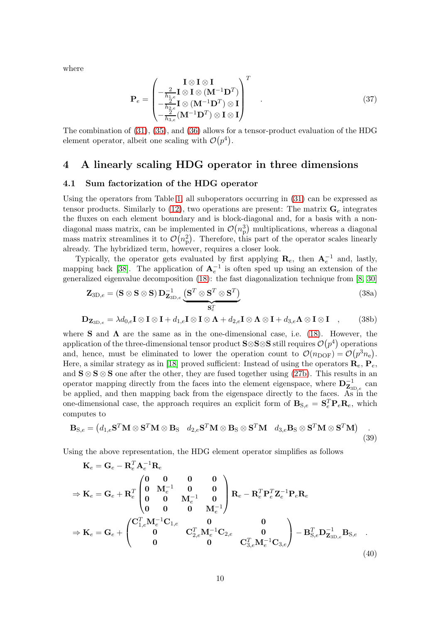where

$$
\mathbf{P}_e = \begin{pmatrix} \mathbf{I} \otimes \mathbf{I} & \mathbf{I} \\ -\frac{2}{h_{1,e}} \mathbf{I} \otimes \mathbf{I} \otimes (\mathbf{M}^{-1} \mathbf{D}^T) \\ -\frac{2}{h_{2,e}} \mathbf{I} \otimes (\mathbf{M}^{-1} \mathbf{D}^T) \otimes \mathbf{I} \\ -\frac{2}{h_{3,e}} (\mathbf{M}^{-1} \mathbf{D}^T) \otimes \mathbf{I} \otimes \mathbf{I} \end{pmatrix}^T
$$
 (37)

The combination of [\(31\)](#page-7-1), [\(35\)](#page-8-1), and [\(36\)](#page-8-2) allows for a tensor-product evaluation of the HDG element operator, albeit one scaling with  $\mathcal{O}(p^4)$ .

## <span id="page-9-0"></span>4 A linearly scaling HDG operator in three dimensions

## 4.1 Sum factorization of the HDG operator

Using the operators from Table [1,](#page-8-0) all suboperators occurring in [\(31\)](#page-7-1) can be expressed as tensor products. Similarly to [\(12\)](#page-4-4), two operations are present: The matrix  $\mathbf{G}_{e}$  integrates the fluxes on each element boundary and is block-diagonal and, for a basis with a nondiagonal mass matrix, can be implemented in  $\mathcal{O}(n_p^3)$  multiplications, whereas a diagonal mass matrix streamlines it to  $\mathcal{O}(n_p^2)$ . Therefore, this part of the operator scales linearly already. The hybridized term, however, requires a closer look.

Typically, the operator gets evaluated by first applying  $\mathbf{R}_e$ , then  $\mathbf{A}_e^{-1}$  and, lastly, mapping back [\[38\]](#page-25-0). The application of  $A<sub>e</sub><sup>-1</sup>$  is often sped up using an extension of the generalized eigenvalue decomposition [\(18\)](#page-5-2): the fast diagonalization technique from [\[8,](#page-23-0) [30\]](#page-24-8)

$$
\mathbf{Z}_{3D,e} = (\mathbf{S} \otimes \mathbf{S} \otimes \mathbf{S}) \mathbf{D}_{\mathbf{Z}_{3D,e}}^{-1} \underbrace{(\mathbf{S}^T \otimes \mathbf{S}^T \otimes \mathbf{S}^T)}_{\mathbf{S}_e^T}
$$
(38a)

$$
\mathbf{D}_{\mathbf{Z}_{3D,e}} = \lambda d_{0,e} \mathbf{I} \otimes \mathbf{I} \otimes \mathbf{I} + d_{1,e} \mathbf{I} \otimes \mathbf{I} \otimes \mathbf{\Lambda} + d_{2,e} \mathbf{I} \otimes \mathbf{\Lambda} \otimes \mathbf{I} + d_{3,e} \mathbf{\Lambda} \otimes \mathbf{I} \otimes \mathbf{I} \quad , \tag{38b}
$$

where S and  $\Lambda$  are the same as in the one-dimensional case, i.e. [\(18\)](#page-5-2). However, the application of the three-dimensional tensor product S⊗S⊗S still requires  $\mathcal{O}(p^4)$  operations and, hence, must be eliminated to lower the operation count to  $\mathcal{O}(n_{\text{DOF}}) = \mathcal{O}(p^3 n_e)$ . Here, a similar strategy as in [\[18\]](#page-24-9) proved sufficient: Instead of using the operators  $\mathbf{R}_e$ ,  $\mathbf{P}_e$ , and  $S \otimes S \otimes S$  one after the other, they are fused together using [\(27b\)](#page-6-3). This results in an operator mapping directly from the faces into the element eigenspace, where  $D_{\mathbf{Z}_{3D,e}}^{-1}$  can be applied, and then mapping back from the eigenspace directly to the faces. As in the one-dimensional case, the approach requires an explicit form of  $B_{S,e} = S_e^T P_e R_e$ , which computes to

$$
\mathbf{B}_{S,e} = (d_{1,e}\mathbf{S}^T\mathbf{M} \otimes \mathbf{S}^T\mathbf{M} \otimes \mathbf{B}_S \quad d_{2,e}\mathbf{S}^T\mathbf{M} \otimes \mathbf{B}_S \otimes \mathbf{S}^T\mathbf{M} \quad d_{3,e}\mathbf{B}_S \otimes \mathbf{S}^T\mathbf{M} \otimes \mathbf{S}^T\mathbf{M})
$$
(39)

Using the above representation, the HDG element operator simplifies as follows

<span id="page-9-1"></span>
$$
\mathbf{K}_{e} = \mathbf{G}_{e} - \mathbf{R}_{e}^{T} \mathbf{A}_{e}^{-1} \mathbf{R}_{e}
$$
\n
$$
\Rightarrow \mathbf{K}_{e} = \mathbf{G}_{e} + \mathbf{R}_{e}^{T} \begin{pmatrix} 0 & 0 & 0 & 0 \\ 0 & \mathbf{M}_{e}^{-1} & 0 & 0 \\ 0 & 0 & \mathbf{M}_{e}^{-1} & 0 \\ 0 & 0 & 0 & \mathbf{M}_{e}^{-1} \end{pmatrix} \mathbf{R}_{e} - \mathbf{R}_{e}^{T} \mathbf{P}_{e}^{T} \mathbf{Z}_{e}^{-1} \mathbf{P}_{e} \mathbf{R}_{e}
$$
\n
$$
\Rightarrow \mathbf{K}_{e} = \mathbf{G}_{e} + \begin{pmatrix} \mathbf{C}_{1,e}^{T} \mathbf{M}_{e}^{-1} \mathbf{C}_{1,e} & 0 & 0 \\ 0 & \mathbf{C}_{2,e}^{T} \mathbf{M}_{e}^{-1} \mathbf{C}_{2,e} & 0 \\ 0 & 0 & \mathbf{C}_{3,e}^{T} \mathbf{M}_{e}^{-1} \mathbf{C}_{3,e} \end{pmatrix} - \mathbf{B}_{S,e}^{T} \mathbf{D}_{\mathbf{Z}_{3D,e}}^{-1} \mathbf{B}_{S,e} \quad .
$$
\n(40)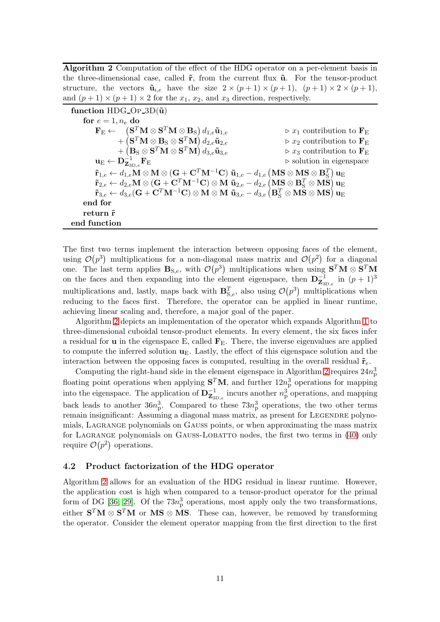<span id="page-10-0"></span>Algorithm 2 Computation of the effect of the HDG operator on a per-element basis in the three-dimensional case, called  $\tilde{\mathbf{r}}$ , from the current flux  $\tilde{\mathbf{u}}$ . For the tensor-product structure, the vectors  $\tilde{\mathbf{u}}_{i,e}$  have the size  $2 \times (p+1) \times (p+1)$ ,  $(p+1) \times 2 \times (p+1)$ , and  $(p+1) \times (p+1) \times 2$  for the  $x_1, x_2$ , and  $x_3$  direction, respectively.

| function HDG_OP_3D $(\tilde{u})$                                                                                                                                                                                                                                                                                                                                                                                                                        |                                                              |
|---------------------------------------------------------------------------------------------------------------------------------------------------------------------------------------------------------------------------------------------------------------------------------------------------------------------------------------------------------------------------------------------------------------------------------------------------------|--------------------------------------------------------------|
| for $e = 1, n_e$ do                                                                                                                                                                                                                                                                                                                                                                                                                                     |                                                              |
|                                                                                                                                                                                                                                                                                                                                                                                                                                                         | $\triangleright x_1$ contribution to $\mathbf{F}_{\text{E}}$ |
| $\mathbf{F}_\mathrm{E} \leftarrow \frac{(\mathbf{S}^T \mathbf{M} \otimes \mathbf{S}^T \mathbf{M} \otimes \mathbf{B}_\mathrm{S}) d_{1,e} \tilde{\mathbf{u}}_{1,e}}{(\mathbf{S}^T \mathbf{M} \otimes \mathbf{B}_\mathrm{S} \otimes \mathbf{S}^T \mathbf{M}) d_{2,e} \tilde{\mathbf{u}}_{2,e}}$                                                                                                                                                            | $\triangleright x_2$ contribution to $\mathbf{F}_{\text{E}}$ |
|                                                                                                                                                                                                                                                                                                                                                                                                                                                         | $\triangleright x_3$ contribution to $\mathbf{F}_{\rm E}$    |
| $\mathbf{u}_\mathrm{E} \leftarrow \mathbf{D}_{\mathbf{Z}_{3\mathrm{D},e}}^{-1} \mathbf{F}_\mathrm{E} \mathbf{F}_{\mathrm{E}} \mathbf{b}^{-1} \mathbf{A} \otimes \mathbf{S}^T \mathbf{M} \mathbf{A} \mathbf{A}_{3,e} \mathbf{\tilde{u}}_{3,e} \mathbf{A}_{3,e}$                                                                                                                                                                                          | $\triangleright$ solution in eigenspace                      |
| $\tilde{\mathbf{r}}_{1,e} \leftarrow d_{1,e} \mathbf{M} \otimes \mathbf{M} \otimes (\mathbf{G} + \mathbf{C}^T \mathbf{M}^{-1} \mathbf{C}) \; \tilde{\mathbf{u}}_{1,e} - d_{1,e} \left( \mathbf{M} \mathbf{S} \otimes \mathbf{M} \mathbf{S} \otimes \mathbf{B}^T_{\mathbf{S}} \right) \mathbf{u}_{\mathbf{E}}$                                                                                                                                           |                                                              |
| $\tilde{\mathbf{r}}_{2,e} \leftarrow d_{2,e} \mathbf{M} \otimes (\mathbf{G} + \mathbf{C}^T \mathbf{M}^{-1} \mathbf{C}) \otimes \mathbf{M} \; \tilde{\mathbf{u}}_{2,e} - d_{2,e} \left( \mathbf{M} \mathbf{S} \otimes \mathbf{B}^T_{\mathbf{S}} \otimes \mathbf{M} \tilde{\mathbf{S}} \right) \mathbf{u}_{\mathbf{E}} \nonumber \ \tilde{\mathbf{r}}_{3,e} \leftarrow d_{3,e} (\mathbf{G} + \mathbf{C}^T \mathbf{M}^{-1} \mathbf{C}) \otimes \mathbf{M}$ |                                                              |
|                                                                                                                                                                                                                                                                                                                                                                                                                                                         |                                                              |
| end for                                                                                                                                                                                                                                                                                                                                                                                                                                                 |                                                              |
| return r̃                                                                                                                                                                                                                                                                                                                                                                                                                                               |                                                              |
| end function                                                                                                                                                                                                                                                                                                                                                                                                                                            |                                                              |

The first two terms implement the interaction between opposing faces of the element, using  $\mathcal{O}(p^3)$  multiplications for a non-diagonal mass matrix and  $\mathcal{O}(p^2)$  for a diagonal one. The last term applies  $B_{S,e}$ , with  $\mathcal{O}(p^3)$  multiplications when using  $S^T M \otimes S^T M$ on the faces and then expanding into the element eigenspace, then  $\mathbf{D}_{\mathbf{Z}_{3D,e}}^{-1}$  in  $(p+1)^3$ multiplications and, lastly, maps back with  $\mathbf{B}_{\text{S},e}^T$ , also using  $\mathcal{O}(p^3)$  multiplications when reducing to the faces first. Therefore, the operator can be applied in linear runtime, achieving linear scaling and, therefore, a major goal of the paper.

Algorithm [2](#page-10-0) depicts an implementation of the operator which expands Algorithm [1](#page-6-1) to three-dimensional cuboidal tensor-product elements. In every element, the six faces infer a residual for **u** in the eigenspace E, called  $\mathbf{F}_E$ . There, the inverse eigenvalues are applied to compute the inferred solution  $\mathbf{u}_E$ . Lastly, the effect of this eigenspace solution and the interaction between the opposing faces is computed, resulting in the overall residual  $\tilde{\mathbf{r}}_e$ .

Computing the right-hand side in the element eigenspace in Algorithm [2](#page-10-0) requires  $24n_{\rm p}^3$ floating point operations when applying  $S<sup>T</sup>M$ , and further  $12n_p^3$  operations for mapping into the eigenspace. The application of  $\mathbf{D}_{\mathbf{Z}_{3D,e}}^{-1}$  incurs another  $n_{\rm p}^3$  operations, and mapping back leads to another  $36n_p^3$ . Compared to these  $73n_p^3$  operations, the two other terms remain insignificant: Assuming a diagonal mass matrix, as present for LEGENDRE polynomials, Lagrange polynomials on Gauß points, or when approximating the mass matrix for LAGRANGE polynomials on GAUSS-LOBATTO nodes, the first two terms in [\(40\)](#page-9-1) only require  $\mathcal{O}(p^2)$  operations.

#### <span id="page-10-1"></span>4.2 Product factorization of the HDG operator

Algorithm [2](#page-10-0) allows for an evaluation of the HDG residual in linear runtime. However, the application cost is high when compared to a tensor-product operator for the primal form of DG [\[36,](#page-25-1) [29\]](#page-24-4). Of the  $73n_p^3$  operations, most apply only the two transformations, either  $S^T M \otimes S^T M$  or MS  $\otimes$  MS. These can, however, be removed by transforming the operator. Consider the element operator mapping from the first direction to the first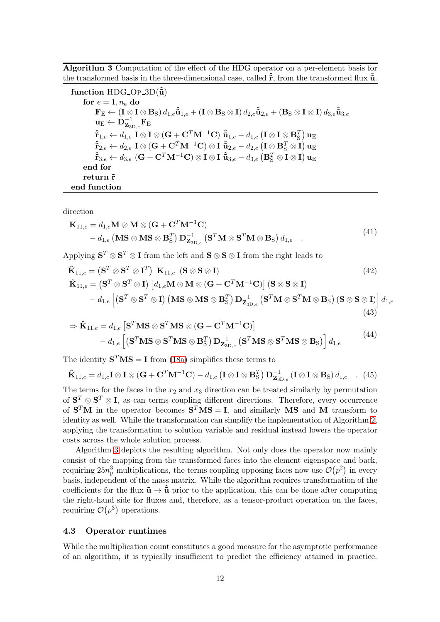<span id="page-11-0"></span>Algorithm 3 Computation of the effect of the HDG operator on a per-element basis for the transformed basis in the three-dimensional case, called  $\hat{\tilde{r}}$ , from the transformed flux  $\hat{\tilde{u}}$ .

function HDG\_OP\_3D $(\ddot{\tilde{u}})$ for  $e = 1, n_e$  do  $\mathbf{F}_\text{E} \leftarrow (\mathbf{I} \otimes \mathbf{I} \otimes \mathbf{B}_\text{S}) \, d_{1,e} \hat{\tilde{\mathbf{u}}}_{1,e} + (\mathbf{I} \otimes \mathbf{B}_\text{S} \otimes \mathbf{I}) \, d_{2,e} \hat{\tilde{\mathbf{u}}}_{2,e} + (\mathbf{B}_\text{S} \otimes \mathbf{I} \otimes \mathbf{I}) \, d_{3,e} \hat{\tilde{\mathbf{u}}}_{3,e}$  $\mathbf{u}_\mathrm{E} \leftarrow \mathrm{\mathbf{\dot{D}}}_{\mathbf{Z}_{\mathrm{3D},e}}^{-1} \mathbf{F}_\mathrm{E}$  $\mathbf{\hat{\tilde{r}}}_{1,e}\leftarrow d_{1,e}\;\mathbf{I}\otimes\mathbf{I}\otimes(\mathbf{G}+\mathbf{C}^T\mathbf{M}^{-1}\mathbf{C})\;\mathbf{\hat{\tilde{u}}}_{1,e}-d_{1,e}\left(\mathbf{I}\otimes\mathbf{I}\otimes\mathbf{B}^T_{\mathrm{S}}\right)\mathbf{u}_{\mathrm{E}}$  $\mathbf{\hat{\tilde{r}}}_{2,e}\leftarrow d_{2,e}\;\mathbf{I}\otimes(\mathbf{G}+\mathbf{C}^T\mathbf{M}^{-1}\mathbf{C})\otimes\mathbf{I}\;\mathbf{\hat{\tilde{u}}}_{2,e}-d_{2,e}\left(\mathbf{I}\otimes\mathbf{B}_{\mathrm{S}}^T\otimes\mathbf{I}\right)\mathbf{u}_{\mathrm{E}}$  $\mathbf{\hat{\tilde{r}}}_{3,e}\leftarrow d_{3,e}\,\left(\mathbf{G}+\mathbf{C}^{T}\mathbf{M}^{-1}\mathbf{C}\right)\otimes\mathbf{I}\otimes\mathbf{I}\,\, \mathbf{\hat{\tilde{u}}}_{3,e}-d_{3,e}\left(\mathbf{B}_{\mathrm{S}}^{T}\otimes\mathbf{I}\otimes\mathbf{I}\right)\mathbf{u}_{\mathrm{E}}$ end for return r̃ end function

direction

$$
\mathbf{K}_{11,e} = d_{1,e} \mathbf{M} \otimes \mathbf{M} \otimes (\mathbf{G} + \mathbf{C}^T \mathbf{M}^{-1} \mathbf{C}) - d_{1,e} (\mathbf{M} \mathbf{S} \otimes \mathbf{M} \mathbf{S} \otimes \mathbf{B}_{\mathrm{S}}^T) \mathbf{D}_{\mathbf{Z}_{3D,e}}^{-1} (\mathbf{S}^T \mathbf{M} \otimes \mathbf{S}^T \mathbf{M} \otimes \mathbf{B}_{\mathrm{S}}) d_{1,e}.
$$
\n(41)

Applying  $S^T \otimes S^T \otimes I$  from the left and  $S \otimes S \otimes I$  from the right leads to

$$
\hat{\mathbf{K}}_{11,e} = (\mathbf{S}^T \otimes \mathbf{S}^T \otimes \mathbf{I}^T) \mathbf{K}_{11,e} \ (\mathbf{S} \otimes \mathbf{S} \otimes \mathbf{I})
$$
\n
$$
\hat{\mathbf{K}}_{11,e} = (\mathbf{S}^T \otimes \mathbf{S}^T \otimes \mathbf{I}) [d_{1,e} \mathbf{M} \otimes \mathbf{M} \otimes (\mathbf{G} + \mathbf{C}^T \mathbf{M}^{-1} \mathbf{C})] (\mathbf{S} \otimes \mathbf{S} \otimes \mathbf{I})
$$
\n
$$
- d_{1,e} [(\mathbf{S}^T \otimes \mathbf{S}^T \otimes \mathbf{I}) (\mathbf{M} \mathbf{S} \otimes \mathbf{M} \mathbf{S} \otimes \mathbf{B}_{\mathrm{S}}^T) \mathbf{D}_{\mathbf{Z}_{3D,e}}^{-1} (\mathbf{S}^T \mathbf{M} \otimes \mathbf{S}^T \mathbf{M} \otimes \mathbf{B}_{\mathrm{S}}) (\mathbf{S} \otimes \mathbf{S} \otimes \mathbf{I})] d_{1,e}
$$
\n(43)

$$
\Rightarrow \hat{\mathbf{K}}_{11,e} = d_{1,e} \left[ \mathbf{S}^T \mathbf{M} \mathbf{S} \otimes \mathbf{S}^T \mathbf{M} \mathbf{S} \otimes (\mathbf{G} + \mathbf{C}^T \mathbf{M}^{-1} \mathbf{C}) \right] - d_{1,e} \left[ \left( \mathbf{S}^T \mathbf{M} \mathbf{S} \otimes \mathbf{S}^T \mathbf{M} \mathbf{S} \otimes \mathbf{B}_{\mathrm{S}}^T \right) \mathbf{D}_{\mathbf{Z}_{3D,e}}^{-1} \left( \mathbf{S}^T \mathbf{M} \mathbf{S} \otimes \mathbf{S}^T \mathbf{M} \mathbf{S} \otimes \mathbf{B}_{\mathrm{S}} \right) \right] d_{1,e}
$$
\n(44)

The identity  $S<sup>T</sup>MS = I$  from [\(18a\)](#page-5-3) simplifies these terms to

$$
\hat{\mathbf{K}}_{11,e} = d_{1,e}\mathbf{I} \otimes \mathbf{I} \otimes (\mathbf{G} + \mathbf{C}^T \mathbf{M}^{-1} \mathbf{C}) - d_{1,e} \left( \mathbf{I} \otimes \mathbf{I} \otimes \mathbf{B}_{\mathrm{S}}^T \right) \mathbf{D}_{\mathbf{Z}_{3D,e}}^{-1} \left( \mathbf{I} \otimes \mathbf{I} \otimes \mathbf{B}_{\mathrm{S}} \right) d_{1,e} \quad . \tag{45}
$$

The terms for the faces in the  $x_2$  and  $x_3$  direction can be treated similarly by permutation of  $S^T \otimes S^T \otimes I$ , as can terms coupling different directions. Therefore, every occurrence of  $S<sup>T</sup>M$  in the operator becomes  $S<sup>T</sup>MS = I$ , and similarly MS and M transform to identity as well. While the transformation can simplify the implementation of Algorithm [2,](#page-10-0) applying the transformation to solution variable and residual instead lowers the operator costs across the whole solution process.

Algorithm [3](#page-11-0) depicts the resulting algorithm. Not only does the operator now mainly consist of the mapping from the transformed faces into the element eigenspace and back, requiring  $25n_p^3$  multiplications, the terms coupling opposing faces now use  $\mathcal{O}(p^2)$  in every basis, independent of the mass matrix. While the algorithm requires transformation of the coefficients for the flux  $\tilde{\mathbf{u}} \to \tilde{\mathbf{u}}$  prior to the application, this can be done after computing the right-hand side for fluxes and, therefore, as a tensor-product operation on the faces, requiring  $\mathcal{O}(p^3)$  operations.

#### <span id="page-11-1"></span>4.3 Operator runtimes

While the multiplication count constitutes a good measure for the asymptotic performance of an algorithm, it is typically insufficient to predict the efficiency attained in practice.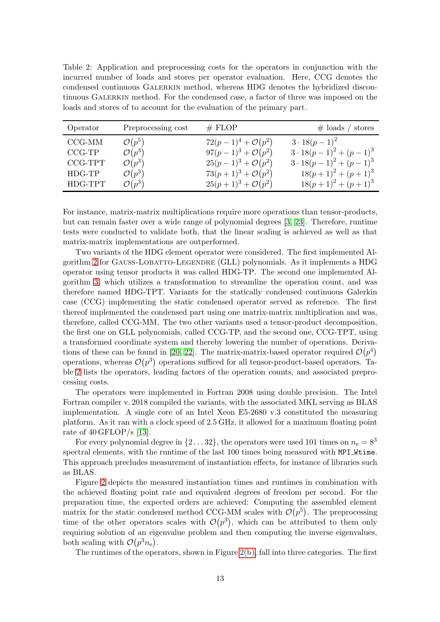<span id="page-12-0"></span>Table 2: Application and preprocessing costs for the operators in conjunction with the incurred number of loads and stores per operator evaluation. Here, CCG denotes the condensed continuous Galerkin method, whereas HDG denotes the hybridized discontinuous Galerkin method. For the condensed case, a factor of three was imposed on the loads and stores of to account for the evaluation of the primary part.

| Operator | Preprocessing cost | # FLOP                         | $\#$ loads / stores          |
|----------|--------------------|--------------------------------|------------------------------|
| $CCG-MM$ | $\mathcal{O}(p^5)$ | $72(p-1)^4 + \mathcal{O}(p^2)$ | $3 \cdot 18(p-1)^2$          |
| $CCG-TP$ | $\mathcal{O}(p^3)$ | $97(p-1)^3 + \mathcal{O}(p^2)$ | $3\cdot 18(p-1)^2 + (p-1)^3$ |
| CCG-TPT  | $\mathcal{O}(p^3)$ | $25(p-1)^3 + \mathcal{O}(p^2)$ | $3\cdot 18(p-1)^2 + (p-1)^3$ |
| HDG-TP   | $\mathcal{O}(p^3)$ | $73(p+1)^3 + \mathcal{O}(p^2)$ | $18(p+1)^{2}+(p+1)^{3}$      |
| HDG-TPT  | $\mathcal{O}(p^3)$ | $25(p+1)^3 + \mathcal{O}(p^2)$ | $18(p+1)^{2} + (p+1)^{3}$    |

For instance, matrix-matrix multiplications require more operations than tensor-products, but can remain faster over a wide range of polynomial degrees [\[3,](#page-23-10) [23\]](#page-24-10). Therefore, runtime tests were conducted to validate both, that the linear scaling is achieved as well as that matrix-matrix implementations are outperformed.

Two variants of the HDG element operator were considered. The first implemented Al-gorithm [2](#page-10-0) for GAUSS-LOBATTO-LEGENDRE (GLL) polynomials. As it implements a HDG operator using tensor products it was called HDG-TP. The second one implemented Algorithm [3,](#page-11-0) which utilizes a transformation to streamline the operation count, and was therefore named HDG-TPT. Variants for the statically condensed continuous Galerkin case (CCG) implementing the static condensed operator served as reference. The first thereof implemented the condensed part using one matrix-matrix multiplication and was, therefore, called CCG-MM. The two other variants used a tensor-product decomposition, the first one on GLL polynomials, called CCG-TP, and the second one, CCG-TPT, using a transformed coordinate system and thereby lowering the number of operations. Deriva-tions of these can be found in [\[20,](#page-24-11) [22\]](#page-24-5). The matrix-matrix-based operator required  $\mathcal{O}(p^4)$ operations, whereas  $\mathcal{O}(p^3)$  operations sufficed for all tensor-product-based operators. Table [2](#page-12-0) lists the operators, leading factors of the operation counts, and associated preprocessing costs.

The operators were implemented in Fortran 2008 using double precision. The Intel Fortran compiler v. 2018 compiled the variants, with the associated MKL serving as BLAS implementation. A single core of an Intel Xeon E5-2680 v.3 constituted the measuring platform. As it ran with a clock speed of 2.5 GHz, it allowed for a maximum floating point rate of 40 GFLOP/s [\[13\]](#page-23-11).

For every polynomial degree in  $\{2 \dots 32\}$ , the operators were used 101 times on  $n_e = 8^3$ spectral elements, with the runtime of the last 100 times being measured with MPI\_Wtime. This approach precludes measurement of instantiation effects, for instance of libraries such as BLAS.

Figure [2](#page-13-0) depicts the measured instantiation times and runtimes in combination with the achieved floating point rate and equivalent degrees of freedom per second. For the preparation time, the expected orders are achieved: Computing the assembled element matrix for the static condensed method CCG-MM scales with  $\mathcal{O}(p^5)$ . The preprocessing time of the other operators scales with  $\mathcal{O}(p^3)$ , which can be attributed to them only requiring solution of an eigenvalue problem and then computing the inverse eigenvalues, both scaling with  $\mathcal{O}(p^3 n_e)$ .

The runtimes of the operators, shown in Figure  $2(b)$ , fall into three categories. The first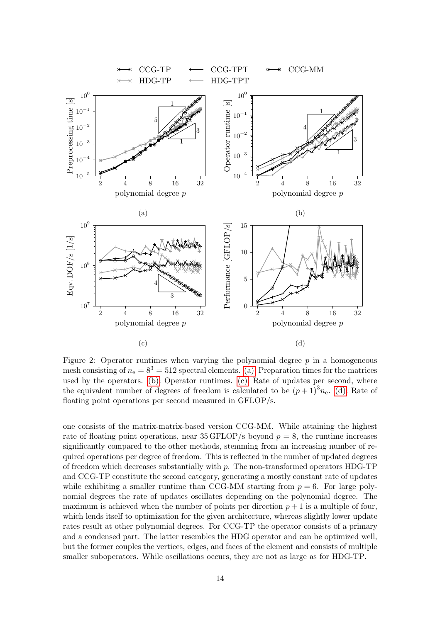<span id="page-13-0"></span>

Figure 2: Operator runtimes when varying the polynomial degree  $p$  in a homogeneous mesh consisting of  $n_e = 8^3 = 512$  spectral elements. [\(a\):](#page-13-0) Preparation times for the matrices used by the operators. [\(b\):](#page-13-0) Operator runtimes. [\(c\):](#page-13-0) Rate of updates per second, where the equivalent number of degrees of freedom is calculated to be  $(p+1)^3 n_e$ . [\(d\):](#page-13-0) Rate of floating point operations per second measured in GFLOP/s.

one consists of the matrix-matrix-based version CCG-MM. While attaining the highest rate of floating point operations, near 35 GFLOP/s beyond  $p = 8$ , the runtime increases significantly compared to the other methods, stemming from an increasing number of required operations per degree of freedom. This is reflected in the number of updated degrees of freedom which decreases substantially with  $p$ . The non-transformed operators HDG-TP and CCG-TP constitute the second category, generating a mostly constant rate of updates while exhibiting a smaller runtime than CCG-MM starting from  $p = 6$ . For large polynomial degrees the rate of updates oscillates depending on the polynomial degree. The maximum is achieved when the number of points per direction  $p + 1$  is a multiple of four, which lends itself to optimization for the given architecture, whereas slightly lower update rates result at other polynomial degrees. For CCG-TP the operator consists of a primary and a condensed part. The latter resembles the HDG operator and can be optimized well, but the former couples the vertices, edges, and faces of the element and consists of multiple smaller suboperators. While oscillations occurs, they are not as large as for HDG-TP.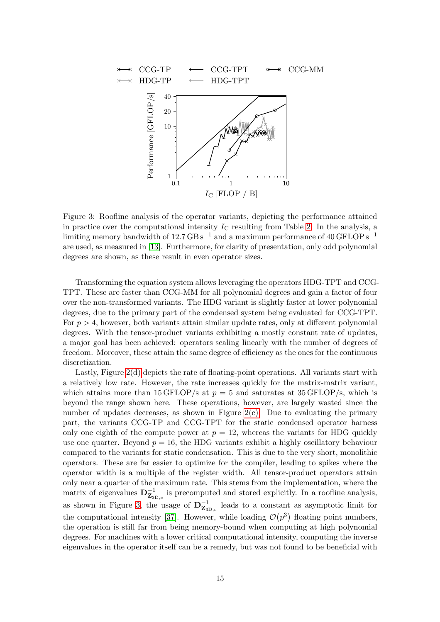<span id="page-14-0"></span>

Figure 3: Roofline analysis of the operator variants, depicting the performance attained in practice over the computational intensity  $I_{\rm C}$  resulting from Table [2.](#page-12-0) In the analysis, a limiting memory bandwidth of  $12.7 \text{ GB s}^{-1}$  and a maximum performance of 40 GFLOP s<sup>-1</sup> are used, as measured in [\[13\]](#page-23-11). Furthermore, for clarity of presentation, only odd polynomial degrees are shown, as these result in even operator sizes.

Transforming the equation system allows leveraging the operators HDG-TPT and CCG-TPT. These are faster than CCG-MM for all polynomial degrees and gain a factor of four over the non-transformed variants. The HDG variant is slightly faster at lower polynomial degrees, due to the primary part of the condensed system being evaluated for CCG-TPT. For  $p > 4$ , however, both variants attain similar update rates, only at different polynomial degrees. With the tensor-product variants exhibiting a mostly constant rate of updates, a major goal has been achieved: operators scaling linearly with the number of degrees of freedom. Moreover, these attain the same degree of efficiency as the ones for the continuous discretization.

Lastly, Figure [2\(d\)](#page-13-0) depicts the rate of floating-point operations. All variants start with a relatively low rate. However, the rate increases quickly for the matrix-matrix variant, which attains more than 15 GFLOP/s at  $p = 5$  and saturates at 35 GFLOP/s, which is beyond the range shown here. These operations, however, are largely wasted since the number of updates decreases, as shown in Figure  $2(c)$ . Due to evaluating the primary part, the variants CCG-TP and CCG-TPT for the static condensed operator harness only one eighth of the compute power at  $p = 12$ , whereas the variants for HDG quickly use one quarter. Beyond  $p = 16$ , the HDG variants exhibit a highly oscillatory behaviour compared to the variants for static condensation. This is due to the very short, monolithic operators. These are far easier to optimize for the compiler, leading to spikes where the operator width is a multiple of the register width. All tensor-product operators attain only near a quarter of the maximum rate. This stems from the implementation, where the matrix of eigenvalues  $\mathbf{D}_{\mathbf{Z}_{3D,\varepsilon}}^{-1}$  is precomputed and stored explicitly. In a roofline analysis, as shown in Figure [3,](#page-14-0) the usage of  $\mathbf{D}_{\mathbf{Z}_{3D,\varepsilon}}^{-1}$  leads to a constant as asymptotic limit for the computational intensity [\[37\]](#page-25-2). However, while loading  $\mathcal{O}(p^3)$  floating point numbers, the operation is still far from being memory-bound when computing at high polynomial degrees. For machines with a lower critical computational intensity, computing the inverse eigenvalues in the operator itself can be a remedy, but was not found to be beneficial with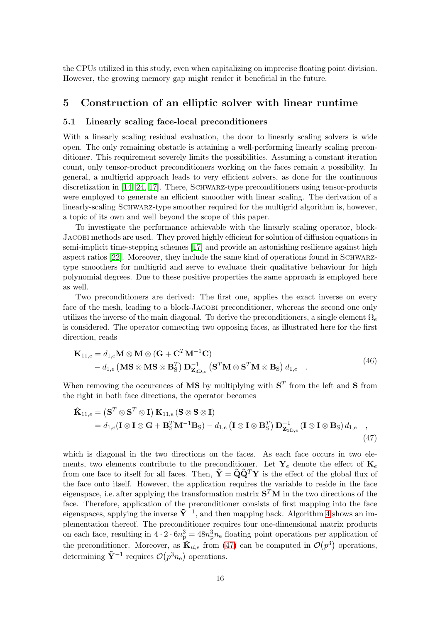the CPUs utilized in this study, even when capitalizing on imprecise floating point division. However, the growing memory gap might render it beneficial in the future.

## <span id="page-15-2"></span><span id="page-15-0"></span>5 Construction of an elliptic solver with linear runtime

#### 5.1 Linearly scaling face-local preconditioners

With a linearly scaling residual evaluation, the door to linearly scaling solvers is wide open. The only remaining obstacle is attaining a well-performing linearly scaling preconditioner. This requirement severely limits the possibilities. Assuming a constant iteration count, only tensor-product preconditioners working on the faces remain a possibility. In general, a multigrid approach leads to very efficient solvers, as done for the continuous discretization in [\[14,](#page-23-12) [24,](#page-24-6) [17\]](#page-24-7). There, SCHWARZ-type preconditioners using tensor-products were employed to generate an efficient smoother with linear scaling. The derivation of a linearly-scaling SCHWARZ-type smoother required for the multigrid algorithm is, however, a topic of its own and well beyond the scope of this paper.

To investigate the performance achievable with the linearly scaling operator, block-Jacobi methods are used. They proved highly efficient for solution of diffusion equations in semi-implicit time-stepping schemes [\[17\]](#page-24-7) and provide an astonishing resilience against high aspect ratios [\[22\]](#page-24-5). Moreover, they include the same kind of operations found in SCHWARZtype smoothers for multigrid and serve to evaluate their qualitative behaviour for high polynomial degrees. Due to these positive properties the same approach is employed here as well.

Two preconditioners are derived: The first one, applies the exact inverse on every face of the mesh, leading to a block-Jacobi preconditioner, whereas the second one only utilizes the inverse of the main diagonal. To derive the preconditioners, a single element  $\Omega_e$ is considered. The operator connecting two opposing faces, as illustrated here for the first direction, reads

$$
\mathbf{K}_{11,e} = d_{1,e} \mathbf{M} \otimes \mathbf{M} \otimes (\mathbf{G} + \mathbf{C}^T \mathbf{M}^{-1} \mathbf{C}) - d_{1,e} (\mathbf{M} \mathbf{S} \otimes \mathbf{M} \mathbf{S} \otimes \mathbf{B}_{\mathrm{S}}^T) \mathbf{D}_{\mathbf{Z}_{3D,e}}^{-1} (\mathbf{S}^T \mathbf{M} \otimes \mathbf{S}^T \mathbf{M} \otimes \mathbf{B}_{\mathrm{S}}) d_{1,e}.
$$
\n(46)

When removing the occurences of **MS** by multiplying with  $S<sup>T</sup>$  from the left and S from the right in both face directions, the operator becomes

<span id="page-15-1"></span>
$$
\hat{\mathbf{K}}_{11,e} = (\mathbf{S}^T \otimes \mathbf{S}^T \otimes \mathbf{I}) \mathbf{K}_{11,e} (\mathbf{S} \otimes \mathbf{S} \otimes \mathbf{I}) \n= d_{1,e} (\mathbf{I} \otimes \mathbf{I} \otimes \mathbf{G} + \mathbf{B}_{\mathrm{S}}^T \mathbf{M}^{-1} \mathbf{B}_{\mathrm{S}}) - d_{1,e} (\mathbf{I} \otimes \mathbf{I} \otimes \mathbf{B}_{\mathrm{S}}^T) \mathbf{D}_{\mathbf{Z}_{3D,e}}^{-1} (\mathbf{I} \otimes \mathbf{I} \otimes \mathbf{B}_{\mathrm{S}}) d_{1,e} ,
$$
\n(47)

which is diagonal in the two directions on the faces. As each face occurs in two elements, two elements contribute to the preconditioner. Let  $\mathbf{Y}_e$  denote the effect of  $\mathbf{K}_e$ from one face to itself for all faces. Then,  $\tilde{\mathbf{Y}} = \tilde{\mathbf{Q}} \tilde{\mathbf{Q}}^T \mathbf{Y}$  is the effect of the global flux of the face onto itself. However, the application requires the variable to reside in the face eigenspace, i.e. after applying the transformation matrix  $S<sup>T</sup>M$  in the two directions of the face. Therefore, application of the preconditioner consists of first mapping into the face eigenspaces, applying the inverse  $\tilde{\mathbf{Y}}^{-1}$ , and then mapping back. Algorithm [4](#page-16-0) shows an implementation thereof. The preconditioner requires four one-dimensional matrix products on each face, resulting in  $4 \cdot 2 \cdot 6n_p^3 = 48n_p^3n_e$  floating point operations per application of the preconditioner. Moreover, as  $\hat{\mathbf{K}}_{ii,e}$  from [\(47\)](#page-15-1) can be computed in  $\mathcal{O}(p^3)$  operations, determining  $\tilde{\mathbf{Y}}^{-1}$  requires  $\mathcal{O}(p^3 n_e)$  operations.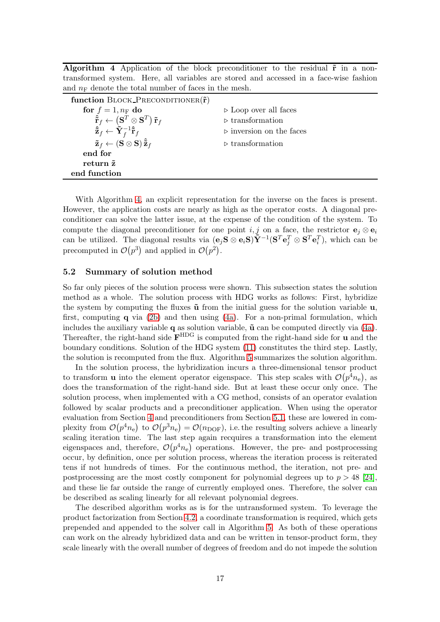<span id="page-16-0"></span>Algorithm 4 Application of the block preconditioner to the residual  $\tilde{r}$  in a nontransformed system. Here, all variables are stored and accessed in a face-wise fashion and  $n_F$  denote the total number of faces in the mesh.

| function BLOCK_PRECONDITIONER $(\tilde{\mathbf{r}})$                                                                                                                                                                                 |                                         |
|--------------------------------------------------------------------------------------------------------------------------------------------------------------------------------------------------------------------------------------|-----------------------------------------|
| for $f = 1, n_F$ do                                                                                                                                                                                                                  | $\triangleright$ Loop over all faces    |
|                                                                                                                                                                                                                                      | $\triangleright$ transformation         |
| $\begin{aligned} \hat{\tilde{\mathbf{r}}}_f &\leftarrow \left(\mathbf{S}^T\otimes\mathbf{S}^T\right)\tilde{\mathbf{r}}_f \ \hat{\tilde{\mathbf{z}}}_f &\leftarrow \tilde{\mathbf{Y}}_f^{-1}\hat{\tilde{\mathbf{r}}}_f \end{aligned}$ | $\triangleright$ inversion on the faces |
| $\tilde{\mathbf{z}}_f \leftarrow (\mathbf{S} \otimes \mathbf{S}) \hat{\tilde{\mathbf{z}}}_f$                                                                                                                                         | $\triangleright$ transformation         |
| end for                                                                                                                                                                                                                              |                                         |
| return $\tilde{z}$                                                                                                                                                                                                                   |                                         |
| end function                                                                                                                                                                                                                         |                                         |

With Algorithm [4,](#page-16-0) an explicit representation for the inverse on the faces is present. However, the application costs are nearly as high as the operator costs. A diagonal preconditioner can solve the latter issue, at the expense of the condition of the system. To compute the diagonal preconditioner for one point i, j on a face, the restrictor  $e_i \otimes e_i$ can be utilized. The diagonal results via  $(e_j S \otimes e_i S) \tilde{Y}^{-1} (S^T e_j^T \otimes S^T e_i^T)$ , which can be precomputed in  $\mathcal{O}(p^3)$  and applied in  $\mathcal{O}(p^2)$ .

## 5.2 Summary of solution method

So far only pieces of the solution process were shown. This subsection states the solution method as a whole. The solution process with HDG works as follows: First, hybridize the system by computing the fluxes  $\tilde{u}$  from the initial guess for the solution variable  $u$ , first, computing q via [\(2b\)](#page-2-2) and then using [\(4a\)](#page-2-7). For a non-primal formulation, which includes the auxiliary variable q as solution variable,  $\tilde{u}$  can be computed directly via [\(4a\)](#page-2-7). Thereafter, the right-hand side  $\mathbf{F}^{\text{HDG}}$  is computed from the right-hand side for **u** and the boundary conditions. Solution of the HDG system [\(11\)](#page-4-2) constitutes the third step. Lastly, the solution is recomputed from the flux. Algorithm [5](#page-17-0) summarizes the solution algorithm.

In the solution process, the hybridization incurs a three-dimensional tensor product to transform **u** into the element operator eigenspace. This step scales with  $\mathcal{O}(p^4n_e)$ , as does the transformation of the right-hand side. But at least these occur only once. The solution process, when implemented with a CG method, consists of an operator evalation followed by scalar products and a preconditioner application. When using the operator evaluation from Section [4](#page-9-0) and preconditioners from Section [5.1,](#page-15-2) these are lowered in complexity from  $\mathcal{O}(p^4n_e)$  to  $\mathcal{O}(p^3n_e) = \mathcal{O}(n_{\text{DOF}})$ , i.e. the resulting solvers achieve a linearly scaling iteration time. The last step again recquires a transformation into the element eigenspaces and, therefore,  $\mathcal{O}(p^4n_e)$  operations. However, the pre- and postprocessing occur, by definition, once per solution process, whereas the iteration process is reiterated tens if not hundreds of times. For the continuous method, the iteration, not pre- and postprocessing are the most costly component for polynomial degrees up to  $p > 48$  [\[24\]](#page-24-6), and these lie far outside the range of currently employed ones. Therefore, the solver can be described as scaling linearly for all relevant polynomial degrees.

The described algorithm works as is for the untransformed system. To leverage the product factorization from Section [4.2,](#page-10-1) a coordinate transformation is required, which gets prepended and appended to the solver call in Algorithm [5.](#page-17-0) As both of these operations can work on the already hybridized data and can be written in tensor-product form, they scale linearly with the overall number of degrees of freedom and do not impede the solution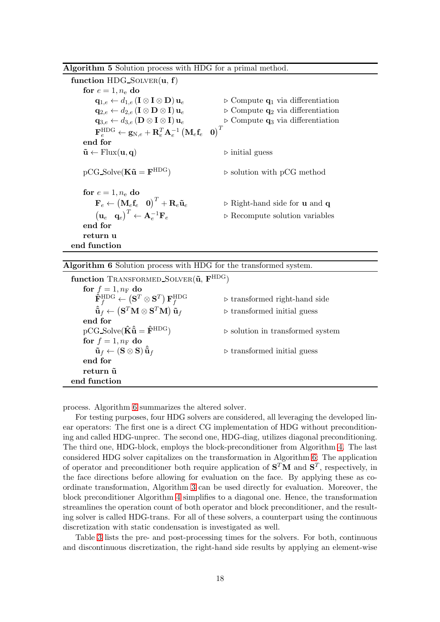<span id="page-17-0"></span>

| Algorithm 5 Solution process with HDG for a primal method. |  |  |  |  |  |  |  |  |
|------------------------------------------------------------|--|--|--|--|--|--|--|--|
|------------------------------------------------------------|--|--|--|--|--|--|--|--|

| function $HDG\_SOLVER(u, f)$                                                                                                                                                               |                                                            |
|--------------------------------------------------------------------------------------------------------------------------------------------------------------------------------------------|------------------------------------------------------------|
| for $e = 1, n_e$ do                                                                                                                                                                        |                                                            |
| $\mathbf{q}_{1,e} \leftarrow d_{1,e} \left( \mathbf{I} \otimes \mathbf{I} \otimes \mathbf{D} \right) \mathbf{u}_e$                                                                         | $\triangleright$ Compute $q_1$ via differentiation         |
| $\mathbf{q}_{2,e} \leftarrow d_{2,e} \left( \mathbf{I} \otimes \mathbf{D} \otimes \mathbf{I} \right) \mathbf{u}_e$                                                                         | $\triangleright$ Compute $q_2$ via differentiation         |
| $\mathbf{q}_{3,e} \leftarrow d_{3,e} \left( \mathbf{D} \otimes \mathbf{I} \otimes \mathbf{I} \right) \mathbf{u}_e$                                                                         | $\triangleright$ Compute $q_3$ via differentiation         |
| $\mathbf{F}_{e}^{\mathrm{HDG}} \leftarrow \mathbf{g}_{\mathrm{N},e} + \mathbf{R}_{e}^{T} \mathbf{A}_{e}^{-1} \begin{pmatrix} \mathbf{M}_{e} \mathbf{f}_{e} & \mathbf{0} \end{pmatrix}^{T}$ |                                                            |
| end for                                                                                                                                                                                    |                                                            |
| $\tilde{\mathbf{u}} \leftarrow$ Flux $(\mathbf{u}, \mathbf{q})$                                                                                                                            | $\triangleright$ initial guess                             |
|                                                                                                                                                                                            |                                                            |
| $pCG\_Solve(K\tilde{u} = F^{HDG})$                                                                                                                                                         | $\triangleright$ solution with pCG method                  |
|                                                                                                                                                                                            |                                                            |
| for $e = 1, n_e$ do                                                                                                                                                                        |                                                            |
| $\mathbf{F}_e \leftarrow \begin{pmatrix} \mathbf{M}_e \mathbf{f}_e & \mathbf{0} \end{pmatrix}^T + \mathbf{R}_e \mathbf{\tilde{u}}_e$                                                       | $\triangleright$ Right-hand side for <b>u</b> and <b>q</b> |
| $\begin{pmatrix} \mathbf{u}_e & \mathbf{q}_e \end{pmatrix}^T \leftarrow \mathbf{A}_e^{-1} \mathbf{F}_e$                                                                                    | $\triangleright$ Recompute solution variables              |
| end for                                                                                                                                                                                    |                                                            |
| return u                                                                                                                                                                                   |                                                            |
| end function                                                                                                                                                                               |                                                            |

#### <span id="page-17-1"></span>Algorithm 6 Solution process with HDG for the transformed system.

| function TRANSFORMED_SOLVER( $\tilde{u}$ , $F^{HDG}$ )                                                                            |                                                 |
|-----------------------------------------------------------------------------------------------------------------------------------|-------------------------------------------------|
| for $f=1, n_F$ do                                                                                                                 |                                                 |
| $\mathbf{\hat{F}}_{f}^{\text{HDG}} \leftarrow \left(\mathbf{S}^T \otimes \mathbf{S}^T\right) \mathbf{F}_{f}^{\text{HDG}}$         | $\triangleright$ transformed right-hand side    |
| $\mathbf{\hat{\tilde{u}}}_f \leftarrow \left(\mathbf{S}^T \mathbf{M} \otimes \mathbf{S}^T \mathbf{M}\right) \mathbf{\tilde{u}}_f$ | $\triangleright$ transformed initial guess      |
| end for                                                                                                                           |                                                 |
| $pCG\_Solve(\hat{\mathbf{K}}\hat{\tilde{\mathbf{u}}} = \hat{\mathbf{F}}^{\text{HDG}})$                                            | $\triangleright$ solution in transformed system |
| for $f = 1, n_F$ do                                                                                                               |                                                 |
| $\tilde{\mathbf{u}}_f \leftarrow (\mathbf{S} \otimes \mathbf{S}) \, \hat{\tilde{\mathbf{u}}}_f$                                   | $\triangleright$ transformed initial guess      |
| end for                                                                                                                           |                                                 |
| return ũ                                                                                                                          |                                                 |
| end function                                                                                                                      |                                                 |

process. Algorithm [6](#page-17-1) summarizes the altered solver.

For testing purposes, four HDG solvers are considered, all leveraging the developed linear operators: The first one is a direct CG implementation of HDG without preconditioning and called HDG-unprec. The second one, HDG-diag, utilizes diagonal preconditioning. The third one, HDG-block, employs the block-preconditioner from Algorithm [4.](#page-16-0) The last considered HDG solver capitalizes on the transformation in Algorithm [6:](#page-17-1) The application of operator and preconditioner both require application of  $S<sup>T</sup>M$  and  $S<sup>T</sup>$ , respectively, in the face directions before allowing for evaluation on the face. By applying these as coordinate transformation, Algorithm [3](#page-11-0) can be used directly for evaluation. Moreover, the block preconditioner Algorithm [4](#page-16-0) simplifies to a diagonal one. Hence, the transformation streamlines the operation count of both operator and block preconditioner, and the resulting solver is called HDG-trans. For all of these solvers, a counterpart using the continuous discretization with static condensation is investigated as well.

Table [3](#page-18-0) lists the pre- and post-processing times for the solvers. For both, continuous and discontinuous discretization, the right-hand side results by applying an element-wise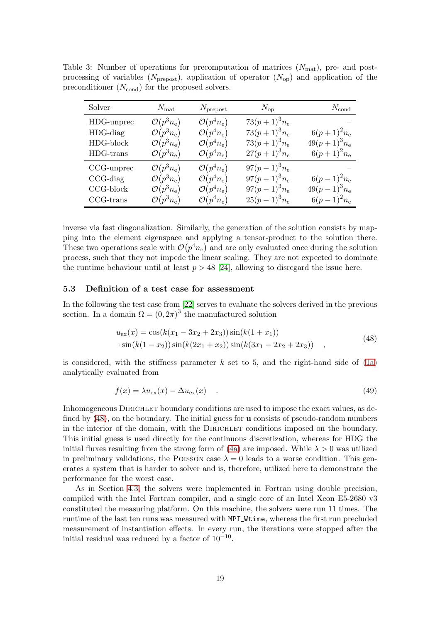| Solver                                                  | $N_{\rm mat}$                                                                                        | $N_{\text{prepost}}$                                                                             | $N_{\rm op}$                                                             | $N_{\rm cond}$                                      |
|---------------------------------------------------------|------------------------------------------------------------------------------------------------------|--------------------------------------------------------------------------------------------------|--------------------------------------------------------------------------|-----------------------------------------------------|
| HDG-unprec<br>$HDG$ -diag<br>HDG-block                  | $\mathcal{O}(p^3 n_e)$<br>$\mathcal{O}(p^3 n_e)$<br>$\mathcal{O}(p^3 n_e)$                           | $\mathcal{O}(p^4n_e)$<br>$\mathcal{O}(p^4n_e)$<br>$\mathcal{O}(p^4n_e)$                          | $73(p+1)^3n_e$<br>$73(p+1)^3n_e$<br>$73(p+1)^3 n_e$                      | $6(p+1)^2 n_e$<br>$49(p+1)^{3}n_{e}$                |
| HDG-trans                                               | $\mathcal{O}(p^3 n_e)$                                                                               | $\mathcal{O}(p^4n_e)$                                                                            | $27(p+1)^3 n_e$                                                          | $6(p+1)^2 n_e$                                      |
| CCG-unprec<br>$CCG$ -diag<br>$CCG-block$<br>$CCG-trans$ | $\mathcal{O}(p^3 n_e)$<br>$\mathcal{O}(p^3 n_e)$<br>$\mathcal{O}(p^3 n_e)$<br>$\mathcal{O}(p^3 n_e)$ | $\mathcal{O}(p^4n_e)$<br>$\mathcal{O}(p^4n_e)$<br>$\mathcal{O}(p^4n_e)$<br>$\mathcal{O}(p^4n_e)$ | $97(p-1)^3 n_e$<br>$97(p-1)^3 n_e$<br>$97(p-1)^3 n_e$<br>$25(p-1)^3 n_e$ | $6(p-1)^2 n_e$<br>$49(p-1)^3 n_e$<br>$6(p-1)^2 n_e$ |

<span id="page-18-0"></span>Table 3: Number of operations for precomputation of matrices  $(N_{\text{mat}})$ , pre- and postprocessing of variables ( $N_{\text{prepost}}$ ), application of operator ( $N_{\text{op}}$ ) and application of the preconditioner  $(N_{\text{cond}})$  for the proposed solvers.

inverse via fast diagonalization. Similarly, the generation of the solution consists by mapping into the element eigenspace and applying a tensor-product to the solution there. These two operations scale with  $\mathcal{O}(p^4n_e)$  and are only evaluated once during the solution process, such that they not impede the linear scaling. They are not expected to dominate the runtime behaviour until at least  $p > 48$  [\[24\]](#page-24-6), allowing to disregard the issue here.

#### 5.3 Definition of a test case for assessment

In the following the test case from [\[22\]](#page-24-5) serves to evaluate the solvers derived in the previous section. In a domain  $\Omega = (0, 2\pi)^3$  the manufactured solution

<span id="page-18-1"></span>
$$
u_{\text{ex}}(x) = \cos(k(x_1 - 3x_2 + 2x_3))\sin(k(1 + x_1))
$$
  
 
$$
\cdot \sin(k(1 - x_2))\sin(k(2x_1 + x_2))\sin(k(3x_1 - 2x_2 + 2x_3))
$$
 (48)

is considered, with the stiffness parameter  $k$  set to 5, and the right-hand side of  $(1a)$ analytically evaluated from

$$
f(x) = \lambda u_{\text{ex}}(x) - \Delta u_{\text{ex}}(x) \tag{49}
$$

Inhomogeneous DIRICHLET boundary conditions are used to impose the exact values, as defined by  $(48)$ , on the boundary. The initial guess for **u** consists of pseudo-random numbers in the interior of the domain, with the DIRICHLET conditions imposed on the boundary. This initial guess is used directly for the continuous discretization, whereas for HDG the initial fluxes resulting from the strong form of [\(4a\)](#page-2-7) are imposed. While  $\lambda > 0$  was utilized in preliminary validations, the POISSON case  $\lambda = 0$  leads to a worse condition. This generates a system that is harder to solver and is, therefore, utilized here to demonstrate the performance for the worst case.

As in Section [4.3,](#page-11-1) the solvers were implemented in Fortran using double precision, compiled with the Intel Fortran compiler, and a single core of an Intel Xeon E5-2680 v3 constituted the measuring platform. On this machine, the solvers were run 11 times. The runtime of the last ten runs was measured with MPI Wtime, whereas the first run precluded measurement of instantiation effects. In every run, the iterations were stopped after the initial residual was reduced by a factor of  $10^{-10}$ .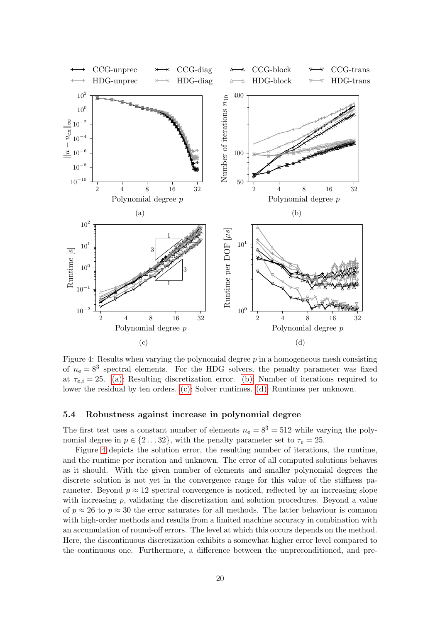<span id="page-19-0"></span>

Figure 4: Results when varying the polynomial degree  $p$  in a homogeneous mesh consisting of  $n_e = 8^3$  spectral elements. For the HDG solvers, the penalty parameter was fixed at  $\tau_{e,i} = 25.$  [\(a\):](#page-19-0) Resulting discretization error. [\(b\):](#page-19-0) Number of iterations required to lower the residual by ten orders. [\(c\):](#page-19-0) Solver runtimes. [\(d\):](#page-19-0) Runtimes per unknown.

#### 5.4 Robustness against increase in polynomial degree

The first test uses a constant number of elements  $n_e = 8^3 = 512$  while varying the polynomial degree in  $p \in \{2...32\}$ , with the penalty parameter set to  $\tau_e = 25$ .

Figure [4](#page-19-0) depicts the solution error, the resulting number of iterations, the runtime, and the runtime per iteration and unknown. The error of all computed solutions behaves as it should. With the given number of elements and smaller polynomial degrees the discrete solution is not yet in the convergence range for this value of the stiffness parameter. Beyond  $p \approx 12$  spectral convergence is noticed, reflected by an increasing slope with increasing  $p$ , validating the discretization and solution procedures. Beyond a value of  $p \approx 26$  to  $p \approx 30$  the error saturates for all methods. The latter behaviour is common with high-order methods and results from a limited machine accuracy in combination with an accumulation of round-off errors. The level at which this occurs depends on the method. Here, the discontinuous discretization exhibits a somewhat higher error level compared to the continuous one. Furthermore, a difference between the unpreconditioned, and pre-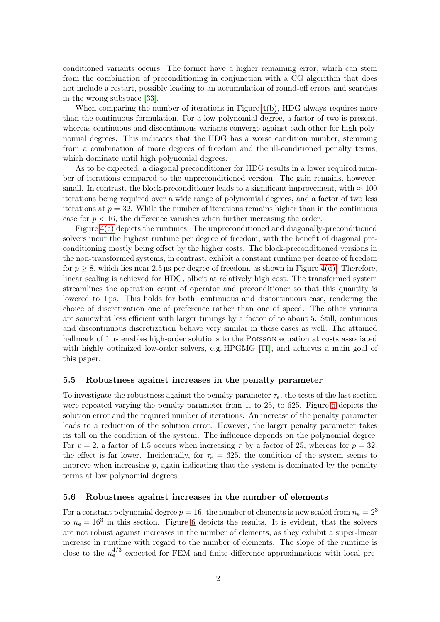conditioned variants occurs: The former have a higher remaining error, which can stem from the combination of preconditioning in conjunction with a CG algorithm that does not include a restart, possibly leading to an accumulation of round-off errors and searches in the wrong subspace [\[33\]](#page-25-3).

When comparing the number of iterations in Figure  $4(b)$ , HDG always requires more than the continuous formulation. For a low polynomial degree, a factor of two is present, whereas continuous and discontinuous variants converge against each other for high polynomial degrees. This indicates that the HDG has a worse condition number, stemming from a combination of more degrees of freedom and the ill-conditioned penalty terms, which dominate until high polynomial degrees.

As to be expected, a diagonal preconditioner for HDG results in a lower required number of iterations compared to the unpreconditioned version. The gain remains, however, small. In contrast, the block-preconditioner leads to a significant improvement, with  $\approx 100$ iterations being required over a wide range of polynomial degrees, and a factor of two less iterations at  $p = 32$ . While the number of iterations remains higher than in the continuous case for  $p < 16$ , the difference vanishes when further increasing the order.

Figure [4\(c\)](#page-19-0) depicts the runtimes. The unpreconditioned and diagonally-preconditioned solvers incur the highest runtime per degree of freedom, with the benefit of diagonal preconditioning mostly being offset by the higher costs. The block-preconditioned versions in the non-transformed systems, in contrast, exhibit a constant runtime per degree of freedom for  $p \geq 8$ , which lies near 2.5 µs per degree of freedom, as shown in Figure [4\(d\).](#page-19-0) Therefore, linear scaling is achieved for HDG, albeit at relatively high cost. The transformed system streamlines the operation count of operator and preconditioner so that this quantity is lowered to 1 µs. This holds for both, continuous and discontinuous case, rendering the choice of discretization one of preference rather than one of speed. The other variants are somewhat less efficient with larger timings by a factor of to about 5. Still, continuous and discontinuous discretization behave very similar in these cases as well. The attained hallmark of 1 µs enables high-order solutions to the POISSON equation at costs associated with highly optimized low-order solvers, e.g. HPGMG [\[11\]](#page-23-13), and achieves a main goal of this paper.

#### 5.5 Robustness against increases in the penalty parameter

To investigate the robustness against the penalty parameter  $\tau_e$ , the tests of the last section were repeated varying the penalty parameter from 1, to 25, to 625. Figure [5](#page-21-0) depicts the solution error and the required number of iterations. An increase of the penalty parameter leads to a reduction of the solution error. However, the larger penalty parameter takes its toll on the condition of the system. The influence depends on the polynomial degree: For  $p = 2$ , a factor of 1.5 occurs when increasing  $\tau$  by a factor of 25, whereas for  $p = 32$ , the effect is far lower. Incidentally, for  $\tau_e = 625$ , the condition of the system seems to improve when increasing  $p$ , again indicating that the system is dominated by the penalty terms at low polynomial degrees.

#### 5.6 Robustness against increases in the number of elements

For a constant polynomial degree  $p = 16$ , the number of elements is now scaled from  $n_e = 2^3$ to  $n_e = 16^3$  in this section. Figure [6](#page-22-1) depicts the results. It is evident, that the solvers are not robust against increases in the number of elements, as they exhibit a super-linear increase in runtime with regard to the number of elements. The slope of the runtime is close to the  $n_e^{4/3}$  expected for FEM and finite difference approximations with local pre-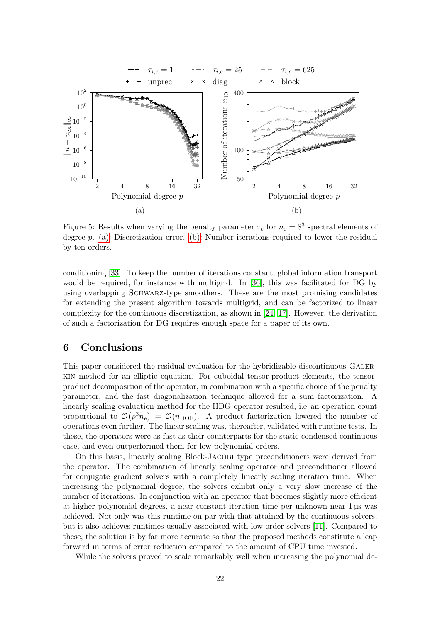<span id="page-21-0"></span>

Figure 5: Results when varying the penalty parameter  $\tau_e$  for  $n_e = 8^3$  spectral elements of degree p. [\(a\):](#page-21-0) Discretization error. [\(b\):](#page-21-0) Number iterations required to lower the residual by ten orders.

conditioning [\[33\]](#page-25-3). To keep the number of iterations constant, global information transport would be required, for instance with multigrid. In [\[36\]](#page-25-1), this was facilitated for DG by using overlapping SCHWARZ-type smoothers. These are the most promising candidates for extending the present algorithm towards multigrid, and can be factorized to linear complexity for the continuous discretization, as shown in [\[24,](#page-24-6) [17\]](#page-24-7). However, the derivation of such a factorization for DG requires enough space for a paper of its own.

## 6 Conclusions

This paper considered the residual evaluation for the hybridizable discontinuous Galerkin method for an elliptic equation. For cuboidal tensor-product elements, the tensorproduct decomposition of the operator, in combination with a specific choice of the penalty parameter, and the fast diagonalization technique allowed for a sum factorization. A linearly scaling evaluation method for the HDG operator resulted, i.e. an operation count proportional to  $\mathcal{O}(p^3 n_e) = \mathcal{O}(n_{\text{DOF}})$ . A product factorization lowered the number of operations even further. The linear scaling was, thereafter, validated with runtime tests. In these, the operators were as fast as their counterparts for the static condensed continuous case, and even outperformed them for low polynomial orders.

On this basis, linearly scaling Block-Jacobi type preconditioners were derived from the operator. The combination of linearly scaling operator and preconditioner allowed for conjugate gradient solvers with a completely linearly scaling iteration time. When increasing the polynomial degree, the solvers exhibit only a very slow increase of the number of iterations. In conjunction with an operator that becomes slightly more efficient at higher polynomial degrees, a near constant iteration time per unknown near 1 µs was achieved. Not only was this runtime on par with that attained by the continuous solvers, but it also achieves runtimes usually associated with low-order solvers [\[11\]](#page-23-13). Compared to these, the solution is by far more accurate so that the proposed methods constitute a leap forward in terms of error reduction compared to the amount of CPU time invested.

While the solvers proved to scale remarkably well when increasing the polynomial de-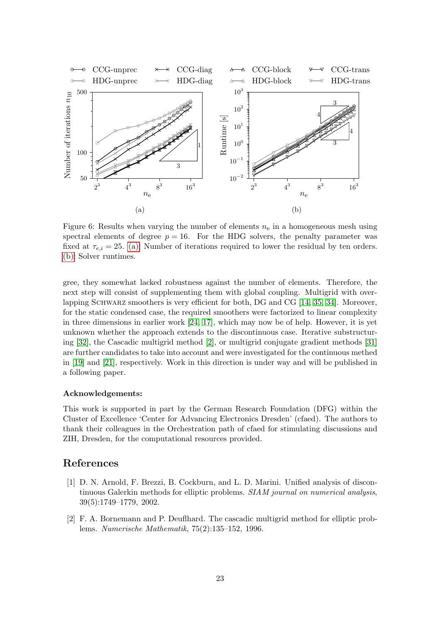<span id="page-22-1"></span>

Figure 6: Results when varying the number of elements  $n_e$  in a homogeneous mesh using spectral elements of degree  $p = 16$ . For the HDG solvers, the penalty parameter was fixed at  $\tau_{e,i} = 25.$  [\(a\):](#page-22-1) Number of iterations required to lower the residual by ten orders. [\(b\):](#page-22-1) Solver runtimes.

gree, they somewhat lacked robustness against the number of elements. Therefore, the next step will consist of supplementing them with global coupling. Multigrid with over-lapping SCHWARZ smoothers is very efficient for both, DG and CG [\[14,](#page-23-12) [35,](#page-25-4) [34\]](#page-25-5). Moreover, for the static condensed case, the required smoothers were factorized to linear complexity in three dimensions in earlier work [\[24,](#page-24-6) [17\]](#page-24-7), which may now be of help. However, it is yet unknown whether the approach extends to the discontinuous case. Iterative substructuring [\[32\]](#page-24-12), the Cascadic multigrid method [\[2\]](#page-22-2), or multigrid conjugate gradient methods [\[31\]](#page-24-13) are further candidates to take into account and were investigated for the continuous methed in [\[19\]](#page-24-14) and [\[21\]](#page-24-15), respectively. Work in this direction is under way and will be published in a following paper.

#### Acknowledgements:

This work is supported in part by the German Research Foundation (DFG) within the Cluster of Excellence 'Center for Advancing Electronics Dresden' (cfaed). The authors to thank their colleagues in the Orchestration path of cfaed for stimulating discussions and ZIH, Dresden, for the computational resources provided.

## <span id="page-22-0"></span>References

- [1] D. N. Arnold, F. Brezzi, B. Cockburn, and L. D. Marini. Unified analysis of discontinuous Galerkin methods for elliptic problems. SIAM journal on numerical analysis, 39(5):1749–1779, 2002.
- <span id="page-22-2"></span>[2] F. A. Bornemann and P. Deuflhard. The cascadic multigrid method for elliptic problems. Numerische Mathematik, 75(2):135–152, 1996.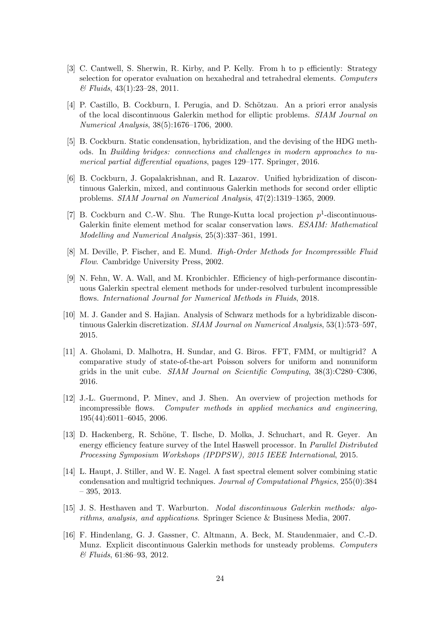- <span id="page-23-10"></span>[3] C. Cantwell, S. Sherwin, R. Kirby, and P. Kelly. From h to p efficiently: Strategy selection for operator evaluation on hexahedral and tetrahedral elements. Computers & Fluids, 43(1):23–28, 2011.
- <span id="page-23-6"></span>[4] P. Castillo, B. Cockburn, I. Perugia, and D. Schötzau. An a priori error analysis of the local discontinuous Galerkin method for elliptic problems. SIAM Journal on Numerical Analysis, 38(5):1676–1706, 2000.
- <span id="page-23-9"></span>[5] B. Cockburn. Static condensation, hybridization, and the devising of the HDG methods. In Building bridges: connections and challenges in modern approaches to numerical partial differential equations, pages 129–177. Springer, 2016.
- <span id="page-23-7"></span>[6] B. Cockburn, J. Gopalakrishnan, and R. Lazarov. Unified hybridization of discontinuous Galerkin, mixed, and continuous Galerkin methods for second order elliptic problems. SIAM Journal on Numerical Analysis, 47(2):1319–1365, 2009.
- <span id="page-23-5"></span>[7] B. Cockburn and C.-W. Shu. The Runge-Kutta local projection  $p^1$ -discontinuous-Galerkin finite element method for scalar conservation laws. ESAIM: Mathematical Modelling and Numerical Analysis, 25(3):337–361, 1991.
- <span id="page-23-4"></span><span id="page-23-0"></span>[8] M. Deville, P. Fischer, and E. Mund. High-Order Methods for Incompressible Fluid Flow. Cambridge University Press, 2002.
- [9] N. Fehn, W. A. Wall, and M. Kronbichler. Efficiency of high-performance discontinuous Galerkin spectral element methods for under-resolved turbulent incompressible flows. International Journal for Numerical Methods in Fluids, 2018.
- <span id="page-23-8"></span>[10] M. J. Gander and S. Hajian. Analysis of Schwarz methods for a hybridizable discontinuous Galerkin discretization. SIAM Journal on Numerical Analysis, 53(1):573–597, 2015.
- <span id="page-23-13"></span>[11] A. Gholami, D. Malhotra, H. Sundar, and G. Biros. FFT, FMM, or multigrid? A comparative study of state-of-the-art Poisson solvers for uniform and nonuniform grids in the unit cube. SIAM Journal on Scientific Computing, 38(3):C280–C306, 2016.
- <span id="page-23-3"></span>[12] J.-L. Guermond, P. Minev, and J. Shen. An overview of projection methods for incompressible flows. Computer methods in applied mechanics and engineering, 195(44):6011–6045, 2006.
- <span id="page-23-11"></span>[13] D. Hackenberg, R. Schöne, T. Ilsche, D. Molka, J. Schuchart, and R. Geyer. An energy efficiency feature survey of the Intel Haswell processor. In *Parallel Distributed* Processing Symposium Workshops (IPDPSW), 2015 IEEE International, 2015.
- <span id="page-23-12"></span>[14] L. Haupt, J. Stiller, and W. E. Nagel. A fast spectral element solver combining static condensation and multigrid techniques. Journal of Computational Physics, 255(0):384 – 395, 2013.
- <span id="page-23-1"></span>[15] J. S. Hesthaven and T. Warburton. Nodal discontinuous Galerkin methods: algorithms, analysis, and applications. Springer Science & Business Media, 2007.
- <span id="page-23-2"></span>[16] F. Hindenlang, G. J. Gassner, C. Altmann, A. Beck, M. Staudenmaier, and C.-D. Munz. Explicit discontinuous Galerkin methods for unsteady problems. Computers & Fluids, 61:86–93, 2012.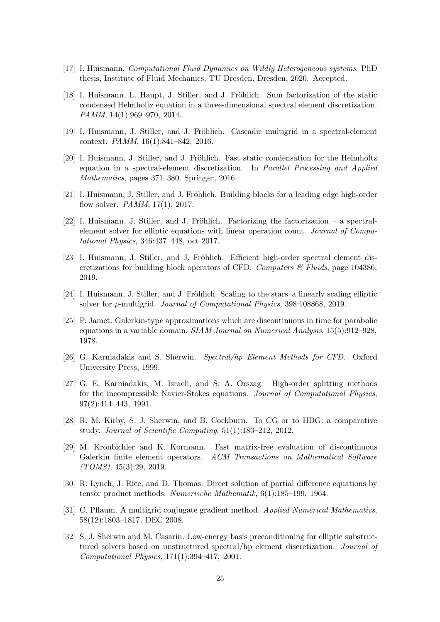- <span id="page-24-9"></span><span id="page-24-7"></span>[17] I. Huismann. Computational Fluid Dynamics on Wildly Heterogeneous systems. PhD thesis, Institute of Fluid Mechanics, TU Dresden, Dresden, 2020. Accepted.
- [18] I. Huismann, L. Haupt, J. Stiller, and J. Fröhlich. Sum factorization of the static condensed Helmholtz equation in a three-dimensional spectral element discretization. PAMM, 14(1):969–970, 2014.
- <span id="page-24-14"></span><span id="page-24-11"></span>[19] I. Huismann, J. Stiller, and J. Fröhlich. Cascadic multigrid in a spectral-element context. PAMM, 16(1):841–842, 2016.
- [20] I. Huismann, J. Stiller, and J. Fröhlich. Fast static condensation for the Helmholtz equation in a spectral-element discretization. In Parallel Processing and Applied Mathematics, pages 371–380. Springer, 2016.
- <span id="page-24-15"></span><span id="page-24-5"></span>[21] I. Huismann, J. Stiller, and J. Fröhlich. Building blocks for a leading edge high-order flow solver. PAMM, 17(1), 2017.
- [22] I. Huismann, J. Stiller, and J. Fröhlich. Factorizing the factorization a spectralelement solver for elliptic equations with linear operation count. Journal of Computational Physics, 346:437–448, oct 2017.
- <span id="page-24-10"></span>[23] I. Huismann, J. Stiller, and J. Fröhlich. Efficient high-order spectral element discretizations for building block operators of CFD. Computers  $\mathcal C$  Fluids, page 104386, 2019.
- <span id="page-24-6"></span><span id="page-24-2"></span>[24] I. Huismann, J. Stiller, and J. Fröhlich. Scaling to the stars–a linearly scaling elliptic solver for p-multigrid. Journal of Computational Physics, 398:108868, 2019.
- [25] P. Jamet. Galerkin-type approximations which are discontinuous in time for parabolic equations in a variable domain. SIAM Journal on Numerical Analysis, 15(5):912–928, 1978.
- <span id="page-24-1"></span><span id="page-24-0"></span>[26] G. Karniadakis and S. Sherwin. Spectral/hp Element Methods for CFD. Oxford University Press, 1999.
- [27] G. E. Karniadakis, M. Israeli, and S. A. Orszag. High-order splitting methods for the incompressible Navier-Stokes equations. Journal of Computational Physics, 97(2):414–443, 1991.
- <span id="page-24-3"></span>[28] R. M. Kirby, S. J. Sherwin, and B. Cockburn. To CG or to HDG: a comparative study. Journal of Scientific Computing, 51(1):183–212, 2012.
- <span id="page-24-4"></span>[29] M. Kronbichler and K. Kormann. Fast matrix-free evaluation of discontinuous Galerkin finite element operators. ACM Transactions on Mathematical Software  $(TOMS), 45(3):29, 2019.$
- <span id="page-24-13"></span><span id="page-24-8"></span>[30] R. Lynch, J. Rice, and D. Thomas. Direct solution of partial difference equations by tensor product methods. Numerische Mathematik, 6(1):185–199, 1964.
- [31] C. Pflaum. A multigrid conjugate gradient method. Applied Numerical Mathematics, 58(12):1803–1817, DEC 2008.
- <span id="page-24-12"></span>[32] S. J. Sherwin and M. Casarin. Low-energy basis preconditioning for elliptic substructured solvers based on unstructured spectral/hp element discretization. Journal of Computational Physics, 171(1):394–417, 2001.